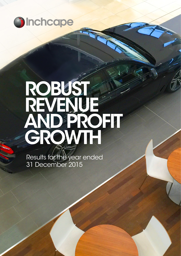

# ROBUST REVENUE AND PROFIT GROWTH

Results for the year ended 31 December 2015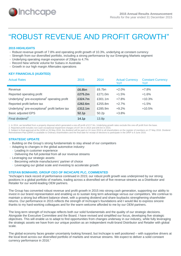

# "ROBUST REVENUE AND PROFIT GROWTH"

#### **2015 HIGHLIGHTS**

- Robust revenue growth of 7.8% and operating profit growth of 10.3%, underlying at constant currency
- Strength from our diversified portfolio, including a strong performance by our Emerging Markets segment
- Underlying operating margin expansion of 20bps to 4.7%
- Record New vehicle volume for Subaru in Australia
- Growth in our high margin Aftersales operations

# **KEY FINANCIALS (AUDITED)**

| <b>Actual Rates</b>                                                    | 2015              | 2014              | <b>Actual Currency</b><br>YoY | <b>Constant Currency</b><br>YoY |
|------------------------------------------------------------------------|-------------------|-------------------|-------------------------------|---------------------------------|
| Revenue                                                                | £6.8bn            | £6.7bn            | $+2.0%$                       | $+7.8%$                         |
| Reported operating profit                                              | £275.2m           | £271.0m           | $+1.5%$                       | $+1.6%$                         |
| Underlying <sup>1</sup> pre-exceptional <sup>2</sup> operating profit  | £324.7m           | £301.1m           | $+7.8%$                       | $+10.3%$                        |
| Reported profit before tax                                             | £262.6m           | £255.8m           | $+2.7%$                       | $+1.5%$                         |
| Underlying <sup>1</sup> pre-exceptional <sup>2</sup> profit before tax | £312.1m           | £285.9m           | $+9.2%$                       | $+10.5%$                        |
| <b>Basic adjusted EPS</b>                                              | 52.1p             | 50.2p             | $+3.8%$                       |                                 |
| Final dividend <sup>3</sup>                                            | 14.1 <sub>p</sub> | 13.8 <sub>p</sub> |                               |                                 |

1. In 2014, we benefited from a property disposal which generated a one-off profit of £17.3m. Underlying growth rates exclude this one-off profit from the base.

2. Reported profit includes non-cash exceptional impairment charges of £47.4m in 2014 and £49.5m in 2015.

3. Subject to final approval at the AGM on 26 May 2016, the dividend will be paid on 24 June 2016 to all shareholders on the register of members on 27 May 2016. Dividend Reinvestment Plan (DRIP) is available to Ordinary shareholders and the final date for receipt of elections to participate in the DRIP is 9 June 2016.

# **STRATEGIC UPDATE**

- Building on the Group's strong fundamentals to stay ahead of our competitors
- Adapting to changes in the global automotive industry:
	- Leading in customer experience
	- Delivering the full potential from all our revenue streams
- **Leveraging our strategic assets:** 
	- **Becoming vehicle manufacturers' partner of choice**
	- Leveraging our global scale and investing to accelerate growth

# **STEFAN BOMHARD, GROUP CEO OF INCHCAPE PLC, COMMENTED**

"Inchcape's track record of performance continued in 2015; our robust profit growth was underpinned by our strong positions in a global portfolio of markets, trading across a diversified set of five revenue streams as a Distributor and Retailer for our world-leading OEM partners.

The Group has converted robust revenue and profit growth in 2015 into strong cash generation, supporting our ability to invest in our brand representation and enabling us to sustain long term advantage versus our competitors. We continue to maintain a strong but efficient balance sheet, with a growing dividend and share buybacks strengthening shareholder returns. Our performance in 2015 reflects the strength of Inchcape's foundations and I would like to express sincere thanks to my hard-working colleagues and for the warm welcome afforded to me by our OEM partners.

The long-term strength of Inchcape reflects both our solid fundamentals and the quality of our strategic decisions. Alongside the Executive Committee and the Board, I have revised and simplified our focus, developing five strategic objectives. This will enable us to adapt to find opportunities from changes underway in our industry, while fully leveraging the strategic assets we have from our unique position as an independent multi-brand Distributor and Retailer with global scale.

The global economy faces greater uncertainty looking forward, but Inchcape is well positioned – with supportive drivers at the local level across our diversified portfolio of markets and revenue streams. We expect to deliver a solid constant currency performance in 2016."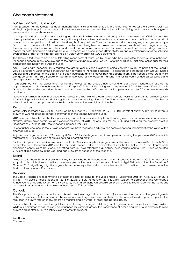# Chairman's statement

#### LONG-TERM VALUE CREATION

I am pleased that the Group has again demonstrated its solid fundamentals with another year of robust profit growth. Our new strategic objectives put us on a clear path for future success and will enable us to continue driving performance, with long-term value creation for our shareholders.

Inchcape is part of an exciting and evolving industry, within which we have a strong portfolio of markets and OEM partners. We have operated in many of our markets for significant periods of time and we have a proven track record of being able to adapt ahead of our competition and build on the strength of our positions. The automotive industry is undergoing changes on multiple fronts, of which we are mindful as we seek to protect and strengthen our businesses. However, despite all the change occurring, there is one important constant - the importance for automotive manufacturers to have a trusted partner providing a route to market for both Distribution and Retail. Here, our expertise and global reach differentiates us and our relationships will be solidified even further as part of the strategy outlined by Stefan Bomhard in his CEO's statement.

The Group is fortunate to have an outstanding management team, led by Stefan who has integrated seamlessly into Inchcape. Inchcape's success is only possible due to the quality of its people, and I would like to thank all of our first-class colleagues for their dedication and hard work during the year.

After 16 years with Inchcape, 2015 marked the last full year of John McConnell being with the Group. On behalf of the Board, I would like to thank John for the contribution he has made to Inchcape's success. His expertise and insight as both Group Finance Director and a member of the Board have been invaluable and he leaves behind a strong team. It has been a pleasure to work alongside John. I am sure I speak on behalf of everyone at Inchcape in thanking him for his years of dedicated service and wishing him well for the future.

I am delighted with the appointment of Richard Howes as the Group's new Chief Financial Officer. Richard will take up his appointment and join the Inchcape Board on 11 April 2016. Richard is joining from the position of Chief Financial Officer at Coats Group plc, the leading industrial thread and consumer textile crafts business, with operations in over 70 countries across six continents.

Richard has gained a wealth of experience across the financial and commercial sectors, working for multi-site businesses with substantial global footprints. His strong track record of leading finance functions across different sectors at a number of international public companies will make Richard a very valuable addition to the Group.

#### **Performance**

Group sales increased by 2.0% to £6.8bn for the full year to 31 December 2015. Our 2015 constant currency like-for-like revenue growth of 9.0% reflected a stronger performance in the second half of the year.

2015 saw a continuation of the Group's trading momentum, supported by broad based growth across our markets and revenue streams. Group profit before tax and exceptional items of £312.1m was up 2.9% on 2014, and excluding the property profit in Singapore of £17.3m in 2014, the underlying increase was 9.2%.

Due to further weakness in the Russian economy we have recorded a £49.5m non-cash exceptional impairment of the value of the goodwill in Russia.

Adjusted earnings per share (EPS) rose by 3.8% to 52.1p. Cash generated from operations during the year was £328.4m which represents a 101% conversion of pre-exceptional operating profit.

For the third year in succession, we announced a £100m share buy-back programme at the time of our Interim Results, with £41m completed by 31 December 2015 and the remainder scheduled to be completed during the first half of 2016. The Group's cash generation continues to be strong, benefiting from our well-established disciplines over working capital. The Group generated £177.6m of free cash flow in the year and had £166.4m of net cash at the year end.

#### Board

I would like to thank Simon Borrows and Vicky Bindra, who both stepped down as Non-Executive Directors in 2015, for their great support and contributions to the Board. We were pleased to announce the appointment of Nigel Stein who joined the Board on 8 October 2015. Nigel brings significant global automotive expertise and is an excellent addition to the Board; he is a member of the Audit and Nominations Committees.

#### Dividend

The Board is pleased to recommend payment of a final dividend for the year ended 31 December 2015 of 14.1p, +2.2% on 2014 (13.8p). This gives a total dividend for 2015 of 20.9p, a 4.0% increase on 2014 (20.1p). Subject to approval at the Company's Annual General Meeting (AGM) on 26 May 2016, the final dividend will be paid on 24 June 2016 to shareholders of the Company on the register of members at the close of business on 27 May 2016.

#### Outlook

The Group has strong fundamentals and is well positioned against a backdrop of some question marks on the global growth outlook. These include the position in the cycle in some large developed markets, which have returned to previous peaks, the reduction in growth rates in many emerging markets and a number of fiscal and political issues.

I am confident that we have the right team and the right strategy to deliver good long-term performance for our stakeholders. While our performance will, as ever, be influenced by external factors, the importance of positioning the Group correctly to seize growth and control our own destiny is even greater than usual.

Ken Hanna Chairman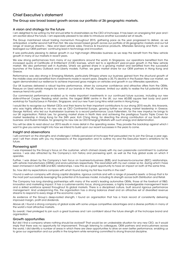# Chief Executive's statement

#### The Group saw broad based growth across our portfolio of 26 geographic markets.

#### A vision and strategy for the future

I am delighted to be writing my first annual letter to shareholders as the CEO of Inchcape. It has been an energising first year and I am excited about the future. I am especially pleased to be able to introduce another successful set of results.

The Group maintained robust trading momentum throughout 2015, gathering pace as the year progressed to deliver, as we anticipated, a better second half than first. We saw broad based growth across our portfolio of 26 geographic markets and our full range of revenue streams – New and Used vehicle sales, Finance & Insurance products, Aftersales Servicing and Parts – as we leveraged our OEM partners' continuing lead in technology and innovation.

It was particularly pleasing to deliver growth in our high-margin Aftersales business as we reap the benefit from the New vehicle growth in many of our markets in recent years.

We saw strong performances from many of our operations around the world. In Singapore, our operations benefited from the increased quota of Certificate of Entitlement (COE) licenses, which led to a significant year-on-year growth in the New vehicle market. We also performed well in Australia, where we gained share in a growing market and benefited from the successful launches of the Subaru Outback and Liberty models. Further, we grew market share for our OEM partners in Hong Kong and Greece.

Performance was also strong in Emerging Markets, particularly Ethiopia where our business gained from the structural growth of the middle class and benefited from investments made in recent years. Despite a 35.7% decline in the Russian New car market, we again demonstrated our resilience to achieve improved gross margins on vehicles and growth in our Aftersales operations.

Our UK business delivered a robust top-line performance, driven by consumer confidence and attractive offers from the OEMs. Pressure on Used vehicle margins for some of our brands in the UK, however, limited our ability to realise the full potential of this revenue trend into profit.

Our commercial performance enabled us to make important investments in our continued future success, including our new state-of-the-art Cooper Reading retail centre, the largest BMW centre in the UK; our new 60,000 square feet body and paint workshop for Toyota/Lexus in Pandan, Singapore; and our new Yuen Long Hino retail centre in Hong Kong.

I would like to recognise our Market CEOs and their teams for their important contributions to our strong 2015 results: Aris Aravanis, who was highly effective in his new role as CEO Continental Europe, growing further our strong market leadership in Greece; George Ashford, who led our Australasian business to a record performance; Louis Fallenstein, for the new impetus he brings to our UK organisation; Patrick Lee, for growing market share in North Asia and achieving the prestigious Toyota Triple Crown for market leadership in Hong Kong for the 24th year; Koh Ching Hong, for directing the strong contribution of our South Asian business; and Ruslan Kinebas, for grasping his new role as CEO Emerging Markets with such energy and determination.

You will be able to read about our 2015 results in more detail in the operating review. They provide the backdrop against which I want to give you some insight into how we intend to build upon our recent successes in the years to come.

#### Insight and observations

I will comment on the strengths and challenges I initially perceived at Inchcape that persuaded me to join the Group a year ago, and I will then share with you my impressions of the organisation and to outline my and the Executive team's ambitions for its future.

#### Pioneering spirit

I was impressed by the Group's focus on the customer, which chimed closely with my own passionate commitment to customer service. I was also attracted by the Company's rich history and pioneering spirit, as well as the truly global scale on which it operates.

Further, I was drawn by the Company's twin focus on business-to-business (B2B) and business-to-consumer (B2C) relationships, with vehicle manufacturers (OEMs) and end-customers respectively. This resonated with my own career so far, during which I have been immersed in both B2B and B2C relationships. I saw this as a great opportunity to have an impact on both at the same time.

So, how did my expectations compare with what I found during my first few months in the role?

I found a well-run company with strong capital discipline, rigorous controls and with a range of powerful assets: a Group that is for the most part successfully leveraging the potential of its business model, including its strength across both Distribution and Retail.

The Company has long standing partnerships with many of the world's leading automotive OEMs, those at the forefront of R&D, innovation and marketing impact. It has a customer-centric focus, strong processes, a highly knowledgeable management team and a skilled workforce spread throughout its global markets. There is a disciplined culture, built around rigorous performance management. And underpinning this, the organisation has a strong balance sheet and an attractive set of diversified revenue streams to respond to every stage of the economic cycle.

As evidence of the Group's deep-rooted strength, I found an organisation that has a track record of consistently delivering improved margin, profit and dividends.

Above all, I found a strong company of global scale with some unique competitive advantages and a diverse portfolio in many of the world's most attractive markets.

So overall, I feel privileged to join such a great business and I am confident about the future strength of the Inchcape brand and organisation.

#### Growth opportunities

But did I find a company where nothing should be evolved? That would be an undesirable situation for any new CEO, as it would imply that there was no opportunity for improvement. Through listening to colleagues, OEM partners and end-customers across the world, I did identify a number of areas in which there are clear opportunities to drive an even better performance, enabling us to grow our organisation and our profits in the long-term while remaining committed to strong financial discipline.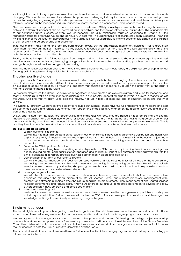As the global car industry rapidly evolves, the purchase behaviour and service-level expectations of consumers is clearly changing. We operate in a marketplace where disruptors are challenging industry incumbents and customers are taking more control by navigating a growing digital landscape. We must continue to develop our processes - and meet them consistently - to retain our position as the recognised industry leader in customer service in a connected, 'omni-channel' world.

Next, we have a very strong portfolio of brands; we need to build on our OEM partnerships to ensure that we thoroughly deserve to achieve the status of 'partner of choice' across all our relationships, and then to robustly defend that position. This is fundamental to our continued future success. At every level of Inchcape, the OEM relationship must be recognised for what it is – the foundation stone for everything we do and achieve. Our past work in building these relationships has been successful – now, it is my intention that we will focus on delivering even more value to every OEM partner, so that we become established as the first port of call for every shared opportunity and challenge.

Third, our markets have strong long-term structural growth drivers, but the addressable market for Aftersales is set to grow even faster than the New car market. Aftersales is a key defensive revenue stream for the Group and drives approximately half of the Group's profits. There is, therefore, a requirement to rebalance the focus on leveraging all our value drivers to maximise the potential of each of them across the mix.

Fourth, we have to exploit the full advantage of our unique position in the market place to share even more expertise and best practice across our organisation, leveraging our global scale to improve collaborative working practices and generate cost savings through shared services and global purchasing.

Fifth, the automotive Distribution and Retail markets are highly fragmented; we should apply a disciplined use of capital to fuel further growth through selective participation in market consolidation.

#### Enabling positive change

Inchcape has solid foundations, but the environment in which we operate is clearly changing. To achieve our ambition, we will need to do some things somewhat differently. Our previous strategy has served us well for many years, enabling us to capitalise on our global leadership position. However, it is apparent that change is needed to build upon the great work of the past to maximise our performance in the future.

So, working closely with the Group Executive team, together we have created an evolved strategy and vision for Inchcape: one that will enable us to take an even stronger leadership role in our industry, generating cash to invest in growth in markets across the world. And one that will allow us to lead the industry, not just in terms of scale but also of ambition, vision and quality of service.

In devising our strategy, we have set five objectives to guide our business. These have the full endorsement of the Board and exist as a set of calculated and targeted statements that support and enable positive change on the ground, every day and in every part of the organisation.

Drawn and refined from the identified opportunities and challenges we face, they are based on real factors that are already impacting our business and will continue to do so for several years. These are the trends that are having the greatest effect on our markets worldwide; using them as the foundation of our new strategy ensures that we will constantly meet market needs. That is why they form the core framework of the actions we will take to accelerate our growth and business performance.

#### **Our five strategic objectives**

- 1. Lead in customer experience
	- We will invest to maintain our position as leader in customer service innovation in automotive Distribution and Retail, with digital a key priority. Through a programme of global research, we will build on our insights into the customer journey in an omni-channel world and create stand-out customer experiences combining data-driven personalisation with a human touch.
- 2. Become the OEM's partner of choice We will build and strengthen our working relationships with our OEM partners by investing time in understanding their needs, seeking greater opportunities for collaboration and sharing our insight into customer and industry trends with the aim of becoming a consistent strategic business partner at both global and local levels.
- 3. Deliver full potential from all our revenue streams We will increase our management focus on our Used vehicle and Aftersales activities at all levels of the organisation, enhancing their perceived status within the business and deepening further reporting and analysis. We will more actively seek to develop business opportunities, sharpening our emphasis on building our brand and unique selling points in these areas to match our profile in New vehicle sales.

4. Leverage our global scale

We will allocate more resources to innovation, sharing and benefiting even more effectively from the proven ideas generated throughout the global organisation. We will sharpen further our business processes, management skills, creativity and strategic planning across the Group, focusing on procurement, talent management and shared services to boost performance and reduce costs. And we will leverage our unique competitive advantage to develop and grow our proposition in new, emerging and developed markets.

5. Invest to accelerate growth

We have increased our business development resources to ensure we have the management capabilities to participate in industry consolidation. Furthermore we will involve the CEOs of our market-specific operations, and leverage their knowledge and insight more directly in delivering our growth agenda.

#### Single-minded focus

This is a straightforward approach to getting done the things that matter, which revolves around teamwork and accountability, a shared cultural mindset, a single-minded focus on our key priorities and constant monitoring of progress and performance.

We are organising the change programme as a series of five parallel workstreams. Addressing the strategic objectives one-byone, each workstream comprises a set of sequential phases which will be championed by members of the Group Executive Committee, delivered locally, supported with centralised resources and set within a clear governance framework that includes regular updates to both the Group Executive Committee and the Board.

The core priorities within each workstream will evolve further over the life of the change programme, and I will report accordingly in future communications.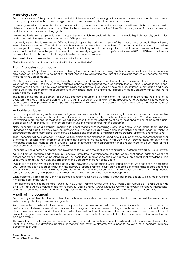#### A unifying vision

So those are some of the practical measures behind the delivery of our new growth strategy. It is also important that we have a unifying company vision that gives strategic shape to the organisation, its mission and its purpose.

I have suggested in this letter that Inchcape is now taking an important evolutionary step that will see it build on the successful delivery of its recent past in a way that is fitting to the market environment of the future. This is a major step for any organisation, and it is not one that we are taking lightly.

We wanted to devise a single, uniquely-Inchcape theme to which we could all align and that would highlight our role, our function and our value in the eyes of our customers and OEM partners.

Above all, we wanted to elevate our OEM partners alongside the customer in terms of the importance ascribed to them at every level of our organisation. The relationship with our manufacturers has always been fundamental to Inchcape's competitive advantage, but being the partner organisation to which they turn first for support and collaboration has never been more important than it will be in the years to come. As I have already suggested, Inchcape's twin focus on B2C and B2B must not favour one over the other – they are both strategically critical to our performance.

As a result of such considerations, the new vision for Inchcape is:

"To be the world's most trusted automotive Distributor and Retailer".

#### Trust. A priceless commodity

Becoming the OEM partner of choice means being the most trusted partner. Being the leader in automotive customer service is also based on a fundamental foundation of trust. And it is by warranting the trust of our investors that we will become an ever more highly valued company.

Clearly, gaining and maintaining trust through outstanding performance at all levels of the business is a key source of added value for the Group – the result of the desirable behaviours throughout the organisation that will drive success in the global markets of the future. Our new vision naturally guides the behaviours we seek by holding every initiative, every action and every individual in the organisation accountable to a very simple idea. It highlights our stated aim as a Company without having to explain it to our audiences.

The idea behind the development of our new strategy and vision is a simple one – to take Inchcape to the next level of its evolution in a shape that is consistent and in tune with the direction being taken by the global automotive industry. It is too early to state explicitly and precisely what shape this organisation will take, but it is possible today to highlight a number of its most valuable attributes.

#### Valuable attributes

First, Inchcape will be a growth business that generates cash but also builds on its strong foundations to invest in its future. We already occupy a unique position in the industry in terms of our scale, global reach and long-standing OEM partner relationships. By investing in growth and consolidation, we will strengthen further the advantage of being positioned at one of the most crucial parts of our \$1.7 trillion industry – that critical point linking the manufacturer with the customer.

Next, Inchcape will be a company operating in global markets that increasingly acts as a single, unified global team, sharing knowledge and expertise across every country and site. Inchcape will also have a genuinely global operating model in which we all leverage the same centralised, state-of-the-art systems and processes to maximise our operational efficiency and effectiveness.

Third, Inchcape will be a Company in which we fully embrace the challenges faced by our OEM partners, to become their partner of choice for collaboration, problem-solving and development into the future. In this way, we will provide them not only with a matchless customer interface but also with a source of innovation and differentiation that enables them to deliver more of their aspirations, more efficiently and cost-effectively.

Inchcape will be a company that has the investment, the skill and the confidence to extract full potential from all our value drivers.

As CEO, I am delighted to lead the Group Executive Committee - a diverse team of global leaders that brings together a wealth of experience from a range of industries as well as deep local market knowledge with a focus on operational excellence. The Executive Team drives the vision and direction of the Company on behalf of the Board.

I would like to extend my personal gratitude to John McConnell, our departing Chief Financial Officer who has been in post since 2009. John has been a lead contributor in the delivery of strong financial results during a period of challenging macro-economic conditions around the world, which is a great testament to his skills and commitment. He leaves behind a very strong finance team, which is entirely fit-for-purpose as we move into the next stage of the Group's development.

While personally I am sad that John has decided to return to his native Australia, I know that many people will join me in wishing him all the best for the future.

I am delighted to welcome Richard Howes, our new Chief Financial Officer who joins us from Coats Group plc. Richard will join us on 11 April and will be a valuable addition to both our Board and our Group Executive Committee given his extensive international and M&A experience and wealth of knowledge across the financial and commercial sectors in fast-paced environments.

#### A path of improvement

So, I am fully confident that the way ahead for Inchcape as we steer our new strategic direction over the next five years is on a well-charted path of improvement and growth.

As I have stated, I believe that we have an opportunity to evolve as we build on our strong foundations and track record of performance. I believe I have outlined that need for change and how we are responding to it in this report. I am confident that the shared spirit, commitment and talents of our united team will continue to enable us to deliver and win across our global market place, leveraging the unique position that we occupy and realising the full potential of the Inchcape Group, a Company that will be driven by trust.

The global economy faces greater uncertainty looking forward, but Inchcape is well positioned - with supportive drivers at the local level across our diversified portfolio of markets and revenue streams. We expect to deliver a solid constant currency performance in 2016.

Stefan Bomhard Group Chief Executive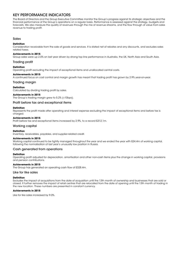# KEY PERFORMANCE INDICATORS

The Board of Directors and the Group Executive Committee monitor the Group's progress against its strategic objectives and the financial performance of the Group's operations on a regular basis. Performance is assessed against the strategy, budgets and forecasts. We also measure the quality of revenues through the mix of revenue streams, and the flow through of value from sales revenue to trading profit.

#### Sales

#### **Definition**

Consideration receivable from the sale of goods and services. It is stated net of rebates and any discounts, and excludes sales related taxes.

#### **Achievements in 2015**

Group sales were up 2.0% on last year driven by strong top line performance in Australia, the UK, North Asia and South Asia.

#### Trading profit

#### **Definition**

Operating profit excluding the impact of exceptional items and unallocated central costs.

#### **Achievements in 2015**

A continued focus on cost control and margin growth has meant that trading profit has grown by 2.9% year-on-year.

#### Trading margin

#### **Definition**

Calculated by dividing trading profit by sales.

#### **Achievements in 2015**

The Group's trading margin grew to 5.2% (+10bps).

#### Profit before tax and exceptional items

#### **Definition**

Represents the profit made after operating and interest expense excluding the impact of exceptional items and before tax is charged.

#### **Achievements in 2015**

Profit before tax and exceptional items increased by 2.9%, to a record £312.1m.

#### Working capital

#### **Definition**

Inventory, receivables, payables, and supplier-related credit.

#### **Achievements in 2015**

Working capital continued to be tightly managed throughout the year and we ended the year with £24.4m of working capital, following the normalisation of last year's unusually low position in Russia.

#### Cash generated from operations

#### **Definition**

Operating profit adjusted for depreciation, amortisation and other non-cash items plus the change in working capital, provisions and pension contributions.

#### **Achievements in 2015**

The Group has generated an operating cash flow of £328.4m.

#### Like for like sales

#### **Definition**

Excludes the impact of acquisitions from the date of acquisition until the 13th month of ownership and businesses that are sold or closed. It further removes the impact of retail centres that are relocated from the date of opening until the 13th month of trading in the new location. These numbers are presented in constant currency.

#### **Achievements in 2015**

Like for like sales increased by 9.0%.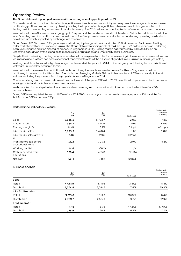# Operating Review

#### The Group delivered a good performance with underlying operating profit growth of 8%

Our results are stated at actual rates of exchange. However, to enhance comparability we also present year-on-year changes in sales and trading profit in constant currency, thereby isolating the impact of exchange. Unless otherwise stated, changes in sales and trading profit in the operating review are at constant currency. The 2016 outlook commentary is also referenced at constant currency.

We continue to benefit from our broad geographic footprint and the depth and breadth of Retail and Distribution relationships with the world's leading premium and luxury automotive brands. The Group has delivered robust sales and underlying operating results which have been adversely impacted by exchange rate movements.

Group Sales of £6.8bn are up 7.8% year-on-year with strong top line growth in Australia, the UK, North Asia and South Asia offsetting softer market conditions in Europe and Russia. The Group delivered a trading profit of £354.7m, up 10.7% on last year on an underlying basis (excluding the profit on disposal of property in Singapore in 2014). Trading margin has improved by 10bps to 5.2% on an underlying basis driven by the strong performances of our Australasian and Emerging Markets businesses.

Despite Russia delivering a trading performance in line with our expectations, the further weakening in the macroeconomic outlook has led us to include a £49.5m non-cash exceptional impairment to write off the full value of goodwill in our Russian business (see note 3).

Working capital continues to be tightly managed and we ended the year with £24.4m of working capital following the normalisation of last year's unusually low position in Russia.

We continue to make selective capital investments and during the year have invested in new facilities in Singapore as well as continuing to develop our facilities in the UK, Australia and Emerging Markets. Net capital expenditure of £53.6m is broadly in line with last year excluding the proceeds from the property disposal in Singapore in 2014.

Continued strong cash conversion drove net cash at the end of the year of £166.4m, 20.8% lower than last year due to the increases in working capital and capital expenditure noted above.

We have taken further steps to de-risk our balance sheet, entering into a transaction with Aviva to insure the liabilities of our TKM pension scheme.

During 2015 we completed the second £50m of our 2014 £100m share buy-back scheme at an average price of 776p and the first £41.4m of our 2015 scheme at 755p.

#### Performance Indicators – Results

|                                               |            |            |          | % change in          |
|-----------------------------------------------|------------|------------|----------|----------------------|
|                                               | £m<br>2015 | £m<br>2014 | % change | constant<br>currency |
| <b>Sales</b>                                  | 6,836.3    | 6,702.7    | 2.0%     | 7.8%                 |
| Trading profit                                | 354.7      | 344.6      | 2.9%     | 5.0%                 |
| Trading margin %                              | 5.2%       | 5.1%       | 0.1ppt   | $(0.1$ ppt $)$       |
| Like for like sales                           | 6,679.5    | 6,478.4    | 3.1%     | 9.0%                 |
| Like for like sales growth<br>%               | 3.1%       | 2.9%       | 0.2ppt   |                      |
| Profit before tax before<br>exceptional items | 312.1      | 303.2      | 2.9%     | 4.2%                 |
| Working capital                               | 24.4       | (16.2)     | n/a      |                      |
| Cash generated from<br>operations             | 328.4      | 405.8      | (19.1%)  |                      |
| Net cash                                      | 166.4      | 210.2      | (20.8%)  |                      |

#### Business Analysis

|                       |            |            |           | % change in<br>constant |
|-----------------------|------------|------------|-----------|-------------------------|
|                       | Em<br>2015 | £m<br>2014 | % change  | currency                |
| <b>Sales</b>          |            |            |           |                         |
| Retail                | 4,061.9    | 4,118.6    | $(1.4\%)$ | 5.8%                    |
| Distribution          | 2,774.4    | 2,584.1    | 7.4%      | 10.9%                   |
| Like for like sales   |            |            |           |                         |
| Retail                | 3,919.8    | 3,951.3    | (0.8%)    | 6.4%                    |
| Distribution          | 2,759.7    | 2,527.1    | 9.2%      | 12.9%                   |
| <b>Trading profit</b> |            |            |           |                         |
| Retail                | 77.8       | 83.8       | (7.2%)    | (3.6%)                  |
| Distribution          | 276.9      | 260.8      | 6.2%      | 7.7%                    |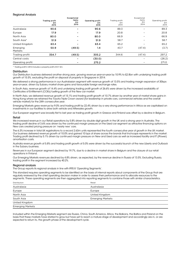#### Regional Analysis

| Exceptional         |                                     |                     |                                       |                              | Exceptional         |                                |
|---------------------|-------------------------------------|---------------------|---------------------------------------|------------------------------|---------------------|--------------------------------|
|                     | <b>Trading profit</b><br>£m<br>2015 | items<br>£m<br>2015 | <b>Operating profit</b><br>£m<br>2015 | Trading profit<br>£m<br>2014 | items<br>Em<br>2014 | Operating profit<br>£m<br>2014 |
| Australasia         | 90.6                                |                     | 90.6                                  | 89.3                         | $\qquad \qquad$     | 89.3                           |
| Europe              | 17.9                                |                     | 17.9                                  | 20.8                         |                     | 20.8                           |
| North Asia          | 80.0                                |                     | 80.0                                  | 66.9                         |                     | 66.9                           |
| South Asia*         | 51.9                                |                     | 51.9                                  | 58.7                         |                     | 58.7                           |
| United Kingdom      | 63.4                                |                     | 63.4                                  | 65.2                         |                     | 65.2                           |
| Emerging<br>Markets | 50.9                                | (49.5)              | 1.4                                   | 43.7                         | (47.4)              | (3.7)                          |
| Trading profit      | 354.7                               | (49.5)              | 305.2                                 | 344.6                        | (47.4)              | 297.2                          |
| Central costs       |                                     |                     | (30.0)                                |                              |                     | (26.2)                         |
| Operating profit    |                                     |                     | 275.2                                 |                              |                     | 271.0                          |
|                     |                                     |                     |                                       |                              |                     |                                |

\* Trading profit in 2014 includes a property profit of £17.3m.

#### **Distribution**

Our Distribution business delivered another strong year, growing revenue year-on-year by 10.9% to £2.8bn with underlying trading profit growth of 15.5%, excluding the profit on disposal of property in Singapore in 2014.

We delivered a strong performance in our Australasian segment with revenue growth of 13.5% and trading margin expansion of 30bps year-on-year, driven by Subaru market share gains and favourable foreign exchange rates.

In South Asia, revenue growth of 14.4% and underlying trading profit growth of 26.6% were driven by the increased availability of Certificates of Entitlement (COEs) fuelling growth of the New car market.

In North Asia, we delivered revenue growth of 15.1% and trading profit growth of 10.7% driven by another year of market share gains in Hong Kong where we retained the Toyota Triple Crown award (for leadership in private cars, commercial vehicles and the overall vehicle market) for the 24th consecutive year.

Emerging Markets grew revenue by 9.0% and trading profit by 22.4% driven by a very strong performance in Africa as we capitalised on investments in our facilities to drive both vehicle and Aftersales growth.

Our European segment was broadly flat to last year as trading profit growth in Greece and Finland was offset by a decline in Belgium.

#### Retail

We increased revenue in our Retail operations by 5.8% driven by double digit growth in the UK and a strong year in Australia. The trading profit decline of 3.6% was driven by the continued margin pressure on the Used car segment as attractive financing options on New cars created pricing pressure on 'nearly new' cars.

The 6.3% increase in total UK registrations to a record 2.63m units represented the fourth consecutive year of growth in the UK market. Our business delivered revenue growth of 10.0% and gained 10 bps of share across the brands that Inchcape represents in the market. Trading profit declined by 5.1% driven by continued margin pressure on New and Used cars as well as increased facility and IT (iPower) amortisation costs.

Australia revenue growth of 5.8% and trading profit growth of 5.0% were driven by the successful launch of the new Liberty and Outback in the Subaru business.

Revenues in our European segment declined by 19.7%, due to a decline in market share in Belgium and the closure of our retail operations in Finland.

Our Emerging Markets revenues declined by 4.8% driven, as expected, by the revenue decline in Russia of 13.5%. Excluding Russia, trading profit in the segment increased by 40.2%.

#### Regional analysis

The Group reports its regional analysis in line with IFRS 8 'Operating Segments'.

This standard requires operating segments to be identified on the basis of internal reports about components of the Group that are regularly reviewed by the chief operating decision maker in order to assess their performance and to allocate resources to the segments. These operating segments are then aggregated into reporting segments to combine those with similar characteristics.

| Distribution            | Retail                  |  |
|-------------------------|-------------------------|--|
| Australasia             | Australasia             |  |
| Europe                  | Europe                  |  |
| North Asia              | United Kingdom          |  |
| South Asia              | <b>Emerging Markets</b> |  |
| United Kingdom          |                         |  |
| <b>Emerging Markets</b> |                         |  |

Included within the Emerging Markets segment are Russia, China, South America, Africa, the Balkans, the Baltics and Poland on the basis that these markets have started to grow but have yet to reach a mature stage of development and accordingly are in, or are expected to return to, the growth phase of the development cycle.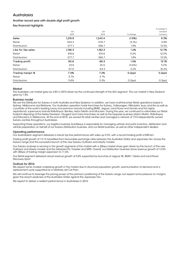# Australasia

#### Another record year with double digit profit growth

Key financial highlights

|                       |         |         |           | % change in |
|-----------------------|---------|---------|-----------|-------------|
|                       | £m      | £m      |           | constant    |
|                       | 2015    | 2014    | % change  | currency    |
| <b>Sales</b>          | 1,219.9 | 1,243.4 | (1.9%)    | 9.3%        |
| Retail                | 642.2   | 676.7   | (5.1%)    | 5.8%        |
| Distribution          | 577.7   | 566.7   | 1.9%      | 13.5%       |
| Like for like sales   | 1,196.3 | 1,182.3 | 1.2%      | 12.7%       |
| Retail                | 618.6   | 615.6   | 0.5%      | 12.0%       |
| Distribution          | 577.7   | 566.7   | 1.9%      | 13.5%       |
| <b>Trading profit</b> | 90.6    | 89.3    | 1.5%      | 13.1%       |
| Retail                | 23.6    | 25.0    | (5.6%)    | 5.0%        |
| Distribution          | 67.0    | 64.3    | 4.2%      | 16.2%       |
| Trading margin %      | 7.4%    | 7.2%    | 0.2ppt    | 0.2ppt      |
| Retail                | 3.7%    | 3.7%    |           |             |
| Distribution          | 11.6%   | 11.3%   | $0.3$ ppt | 0.3ppt      |

#### Market

The Australian car market grew by 3.8% in 2015 driven by the continued strength of the SUV segment. The car market in New Zealand grew by 7.8%.

#### Business model

We are the Distributor for Subaru in both Australia and New Zealand. In addition, we have multi-franchise Retail operations based in Sydney, Melbourne and Brisbane. Our Australian operation holds franchises for Subaru, Volkswagen, Mitsubishi, Isuzu and Kia as well as a portfolio of the world's leading luxury and premium brands including BMW, Jaguar, Land Rover and Honda and the highly aspirational, super-luxury brands Rolls-Royce, Bentley, Aston Martin and McLaren. During the year, we continued to rationalise our Retail footprint disposing of the Harley Davidson, Peugeot and Volvo franchises as well as the bespoke business (Aston Martin, Rolls-Royce and McLaren) in Melbourne. At the end of 2015, we owned 32 retail centres and managed a network of 110 independently owned Subaru centres throughout Australasia.

Supporting these operations, our logistics business AutoNexus is responsible for managing vehicle and parts inventory, distribution and vehicle preparation on behalf of our Subaru Distribution business, and our Retail business, as well as other independent dealers.

#### Operating performance

Our Australasian segment delivered a robust top line performance with sales up 9.3%, with a record trading profit of £90.6m.

Trading profit growth of 13.1% benefited from favourable exchange rates between the Australian Dollar and Japanese Yen across the Subaru range and the successful launch of the new Subaru Outback and Liberty models.

Our Subaru business is winning in the growth segments of the market with a 20bps market share gain driven by the launch of the new Outback and Liberty models and the refreshed XV, Forester and WRX. Overall, our Distribution business drove revenue growth of 13.5% with 30 bps of trading margin expansion to 11.6%.

Our Retail segment delivered robust revenue growth of 5.8% supported by launches of Jaguar XE, BMW 1 Series and Land Rover Discovery Sport.

#### Outlook for 2016

We expect some modest underlying growth in the market due to structural population growth, premiumisation of demand and a replacement cycle supported by a relatively old Car Parc.

We will continue to leverage the pricing power of the premium positioning of the Subaru range, but expect some pressure on margins given the recent weakness of the Australian Dollar against the Japanese Yen.

We expect to deliver a resilient performance in Australasia in 2016.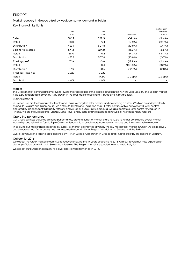# EUROPE

Market recovery in Greece offset by weak consumer demand in Belgium

Key financial highlights

|       |       |                | % change in    |
|-------|-------|----------------|----------------|
| £m    | £m    |                | constant       |
| 2015  | 2014  | % change       | currency       |
| 541.1 | 629.9 | (14.1%)        | (4.4%)         |
| 88.0  | 122.1 | (27.9%)        | (19.7%)        |
| 453.1 | 507.8 | (10.8%)        | (0.7%)         |
| 541.1 | 624.0 | (13.3%)        | (3.5%)         |
| 88.0  | 116.2 | (24.3%)        | (15.7%)        |
| 453.1 | 507.8 | (10.8%)        | (0.7%)         |
| 17.9  | 20.8  | (13.9%)        | (4.4%)         |
|       | O.3   | $(100.0\%)$    | (108.2%)       |
| 17.9  | 20.5  | (12.7%)        | (2.8%)         |
| 3.3%  | 3.3%  |                |                |
|       | 0.2%  | $(0.2$ ppt $)$ | $(0.3$ ppt $)$ |
| 4.0%  | 4.0%  |                |                |
|       |       |                |                |

#### Market

The Greek market continued to improve following the stabilisation of the political situation to finish the year up 6.8%. The Belgian market is up 3.8% in aggregate driven by 9.4% growth in the fleet market offsetting a 1.8% decline in private sales.

#### Business model

In Greece, we are the Distributor for Toyota and Lexus, owning five retail centres and overseeing a further 42 which are independently owned. In Belgium and Luxembourg, we distribute Toyota and Lexus and own 11 retail centres with a network of 93 retail centres operated by independent third party retailers, and 35 repair outlets. In Luxembourg, we also operate a retail centre for Jaguar. In Finland, we are the Distributor for Jaguar, Land Rover and Mazda and we manage a network of 46 independent retailers.

#### Operating performance

Our Greek business delivered a strong performance, growing 30bps of market share to 12.3% to further consolidate overall market leadership and retain the Toyota Triple Crown for leadership in private cars, commercial vehicles and the overall vehicle market.

In Belgium, our market share declined by 60bps, as market growth was driven by the low-margin fleet market in which we are relatively under-represented. Aris Aravanis has now assumed responsibility for Belgium in addition to Greece and the Balkans.

Overall, revenue and trading profit declined by 4.4% in Europe, with growth in Greece and Finland offset by the decline in Belgium.

#### Outlook for 2016

We expect the Greek market to continue to recover following the six years of decline to 2013, with our Toyota business expected to deliver profitable growth in both Sales and Aftersales. The Belgian market is expected to remain relatively flat.

We expect our European segment to deliver a resilient performance in 2016.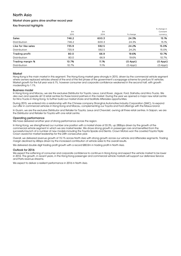# North Asia

#### Market share gains drive another record year

Key financial highlights

|       |       |                | % change in    |
|-------|-------|----------------|----------------|
| £m    | £m    |                | Constant       |
| 2015  | 2014  | % change       | currency       |
| 746.2 | 600.3 | 24.3%          | 15.1%          |
| 746.2 | 600.3 | 24.3%          | 15.1%          |
| 735.9 | 592.5 | 24.2%          | 15.0%          |
| 735.9 | 592.5 | 24.2%          | 15.0%          |
| 80.0  | 66.9  | 19.6%          | 10.7%          |
| 80.0  | 66.9  | 19.6%          | 10.7%          |
| 10.7% | 11.1% | $(0.4$ ppt $)$ | $(0.4$ ppt $)$ |
| 10.7% | 11.1% | $(0.4$ ppt $)$ | $(0.4$ ppt $)$ |
|       |       |                |                |

#### Market

Hong Kong is the main market in this segment. The Hong Kong market grew strongly in 2015, driven by the commercial vehicle segment where owners replaced vehicles ahead of the end of the first phase of the government's scrappage scheme for pre-Euro IV vehicles. Market growth for the full year was 6.1%, however consumer and corporate confidence weakened in the second half, with growth moderating to 1.1%.

#### Business model

In Hong Kong and Macau, we are the exclusive Distributor for Toyota, Lexus, Land Rover, Jaguar, Ford, Daihatsu and Hino Trucks. We also own and operate all 12 retail centres for these brand partners in this market. During the year we opened a major new retail centre for Hino Trucks in Hong Kong, to further build our market share and facilitate Aftersales opportunities.

During 2015, we entered into a relationship with the Chinese company Shanghai Automotive Industry Corporation (SAIC), to expand our offer in commercial vehicles in Hong Kong and Macau, complementing our Toyota and Ford offerings with the Maxus brand.

In Guam, we are the exclusive Distributor and Retailer for Toyota, Lexus and Chevrolet, owning all three retail centres. In Saipan, we are the Distributor and Retailer for Toyota with one retail centre.

#### Operating performance

We have delivered another year of strong performance across the region.

In Hong Kong, we strengthened our number one position with a market share of 33.3%, up 280bps driven by the growth of the commercial vehicle segment in which we are market leader. We drove strong growth in passenger cars and benefited from the successful launch of a number of new models including the Toyota Spade and Sienta. Crown Motors won the coveted Toyota Triple Crown award for market leadership for the 24th consecutive year.

Overall, we delivered revenue growth of 15.1% across North Asia with strong growth across our vehicle and Aftersales segments. Trading margin declined by 40bps driven by the increased contribution of vehicle sales to the overall results.

We delivered double digit trading profit growth with a record £80.0m in trading profit in North Asia.

#### Outlook for 2016

We expect the softening of consumer and corporate confidence to continue in Hong Kong and expect the vehicle market to be lower in 2016. The growth, in recent years, in the Hong Kong passenger and commercial vehicle markets will support our defensive Service and Parts revenue streams.

We expect to deliver a resilient performance in 2016 in North Asia.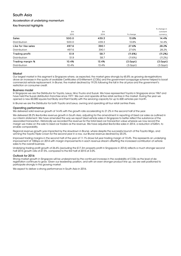# South Asia

#### Acceleration of underlying momentum

Key financial highlights

|       |       |                | % change in    |
|-------|-------|----------------|----------------|
| £m    | £m    |                | constant       |
| 2015  | 2014  | % change       | currency       |
| 500.0 | 439.3 | 13.8%          | 14.4%          |
| 500.0 | 439.3 | 13.8%          | 14.4%          |
| 497.6 | 390.1 | 27.6%          | 28.2%          |
| 497.6 | 390.1 | 27.6%          | 28.2%          |
| 51.9  | 58.7  | (11.6%)        | (11.2%)        |
| 51.9  | 58.7  | (11.6%)        | (11.2%)        |
| 10.4% | 13.4% | $(3.0$ ppt $)$ | $(3.0$ ppt $)$ |
| 10.4% | 13.4% | $(3.0$ ppt $)$ | $(3.0$ ppt $)$ |
|       |       |                |                |

#### **Market**

Our largest market in this segment is Singapore where, as expected, the market grew strongly by 65.8% as growing de-registrations drove an increase in the quota of available Certificates of Entitlement (COEs) and the government scrappage scheme helped to boost commercial vehicle replacement. In Brunei, the market declined by 19.3% following the fall in the oil price and the government's restriction on consumer credit.

#### Business model

In Singapore we are the Distributor for Toyota, Lexus, Hino Trucks and Suzuki. We have represented Toyota in Singapore since 1967 and have held the Suzuki distribution franchise since 1977. We own and operate all five retail centres in the market. During the year we opened a new 60,000 square foot Body and Paint facility with the servicing capacity for up to 600 vehicles per month.

In Brunei we are the Distributor for both Toyota and Lexus, owning and operating all four retail centres there.

#### Operating performance

We delivered solid revenue growth of 14.4% with the growth rate accelerating to 21.2% in the second half of the year.

We delivered 28.2% like-for-like revenue growth in South Asia, adjusting for the amendment in reporting of Used car sales as outlined in our interim statement. We have amended the way we report Used vehicle sales in Singapore to better reflect the substance of the associated transaction. Historically we recorded the revenue for the total Used car transaction value whereas we now record the margin we make on the sale to Used car traders as the revenue. We have adjusted like-for-like sales in 2014, a reduction of £45m, to enable comparability.

Regional revenue growth was impacted by the slowdown in Brunei, where despite the successful launch of the Toyota Wigo, and winning the Toyota Triple Crown for the second year in a row, our Brunei revenue declined by 20.3%.

Improved trading margins in the second half of the year of 11.1% drove full year trading margin of 10.4%. This represents an underlying improvement of 100bps on 2014 with margin improvements in each revenue stream offsetting the increased contribution of vehicle sales to the overall business.

Underlying trading profit growth of 26.6% (excluding the £17.3m property profit in Singapore in 2014) reflects a much stronger second half 2015 growth rate of 47.5%, compared to the first half of 2015 at 3.0%.

#### Outlook for 2016

Strong market growth in Singapore will be underpinned by the continued increase in the availability of COEs as the level of deregistration continues to grow. Given our leadership position, and with an even stronger product line up, we are well positioned to participate strongly in this growing market.

We expect to deliver a strong performance in South Asia in 2016.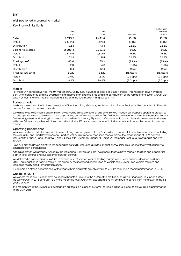# UK

#### Well positioned in a growing market

Key financial highlights

|         |         |                | % change in    |
|---------|---------|----------------|----------------|
| £m      | £m      |                | constant       |
| 2015    | 2014    | % change       | currency       |
| 2,725.2 | 2,472.8 | 10.2%          | 10.2%          |
| 2,662.4 | 2,421.4 | 10.0%          | 10.0%          |
| 62.8    | 51.4    | 22.2%          | 22.2%          |
| 2,609.4 | 2,383.3 | 9.5%           | 9.5%           |
| 2,546.6 | 2,331.9 | 9.2%           | 9.2%           |
| 62.8    | 51.4    | 22.2%          | 22.2%          |
| 63.4    | 65.2    | (2.8%)         | (2.8%)         |
| 52.0    | 54.8    | (5.1%)         | (5.1%)         |
| 11.4    | 10.4    | 9.6%           | 9.6%           |
| 2.3%    | 2.6%    | $(0.3$ ppt $)$ | $(0.3$ ppt $)$ |
| 2.0%    | 2.3%    | $(0.3$ ppt $)$ | $(0.3$ ppt $)$ |
| 18.2%   | 20.2%   | $(2.0$ ppt $)$ | $(2.0$ ppt $)$ |
|         |         |                |                |

#### Market

For the fourth consecutive year the UK market grew, up by 6.3% in 2015 to a record of 2.63m vehicles. This has been driven by good consumer confidence and the availability of attractive financing offers leading to a continuation of the replacement cycle. Growth was driven by both the retail market, increasing 2.5%, and the fleet market that grew by 11.8%.

#### Business model

We have scale operations in the core regions of the South East, Midlands, North and North East of England with a portfolio of 110 retail centres focused on premium brands.

We aim to create significant differentiation by delivering a superior level of customer service through our bespoke operating processes to drive growth in vehicle sales and finance products, and Aftersales retention. The Distribution element of our results is comprised of our fleet management and leasing business, Inchcape Fleet Solutions (IFS), which offers services to corporate and government customers. With over 50 years' experience in the automotive industry, IFS has won a number of industry awards for its unrivalled level of customer service.

#### Operating performance

We increased our market share and delivered strong revenue growth of 10.2% driven by the successful launch of new models including the Jaguar XE and Land Rover Discovery Sport as well as a number of face-lifted models across the broad range of OEM partners including the Audi A4 and Q7, BMW 3 and 7 Series, MINI Clubman, Jaguar XF, Lexus RX, Mercedes-Benz GLC, Toyota Auris and VW **Touran** 

Revenue growth slowed slightly in the second half of 2015, including a limited impact on VW sales as a result of the investigation into emissions testing irregularities.

Aftersales growth was strongly fuelled by the increasing Car Parc and the investments that we have made in facilities and capabilities both in retail centres and our customer contact centres.

We delivered a trading profit of £63.4m, a decline of 2.8% year-on-year as trading margin in our Retail business declined by 30bps in 2015. This reduction in trading margin was driven by the increased contribution of Vehicle sales, lower Used vehicle margins and increased facility and IT amortisation costs.

IFS delivered a strong performance for the year with trading profit growth of 9.6% to £11.4m following a record performance in 2014.

#### Outlook for 2016

We expect the robust UK economy, coupled with factors unique to the automotive market, such as PCP financing, to support further industry growth in 2016 although to a more moderate level. Our Aftersales operations will continue to benefit from the growth in the 1-5 year Car Parc.

The momentum in the UK market coupled with our focus on superior customer service lead us to expect to deliver a solid performance in the UK in 2016.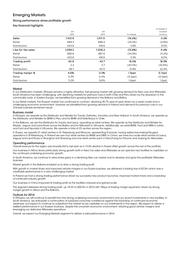# Emerging Markets

#### Strong performance drives profitable growth

Key financial highlights

|         |         |                | % change in    |
|---------|---------|----------------|----------------|
| £m      | £m      |                | constant       |
| 2015    | 2014    | % change       | currency       |
| 1,103.9 | 1,317.0 | (16.2%)        | 0.2%           |
| 669.3   | 898.4   | (25.5%)        | (4.8%)         |
| 434.6   | 418.6   | 3.8%           | 9.0%           |
| 1,099.2 | 1,306.2 | (15.8%)        | 0.4%           |
| 666.6   | 887.6   | (24.9%)        | (4.2%)         |
| 432.6   | 418.6   | 3.3%           | 8.5%           |
| 50.9    | 43.7    | 16.5%          | 18.3%          |
| 2.2     | 3.7     | (40.5%)        | (32.6%)        |
| 48.7    | 40.0    | 21.8%          | 22.4%          |
| 4.6%    | 3.3%    | $1.3$ ppt      | 0.7ppt         |
| 0.3%    | 0.4%    | $(0.1$ ppt $)$ | $(0.1$ ppt $)$ |
| 11.2%   | 9.6%    | 1.6ppt         | 1.2ppt         |
|         |         |                |                |

#### Market

In our Distribution markets, Ethiopia remains a highly attractive, fast growing market with growing demand for New cars and Aftersales. South America has been challenging, with declining markets for premium cars in both Chile and Peru driven by the slowdown in the commodity cycle. In Eastern Europe, we benefited from growing demand in the Balkans and Baltics.

In our Retail markets, the Russian market has continued to contract, declining 35.7% year-on-year driven by a weak rouble and a challenging economic environment. However we benefited from growing demand in Poland and demand for premium cars in our Chinese business remained robust.

#### Business model

In Ethiopia, we operate as the Distributor and Retailer for Toyota, Daihatsu, Komatsu and New Holland. In South America, we operate as the Distributor and Retailer for BMW in Peru and for BMW and Rolls-Royce in Chile.

In the Balkans, we are the Distributor for Toyota and Lexus, operating six retail centres. We operate as the Distributor and Retailer for Mazda, Jaguar and Land Rover across the Baltics and for Mitsubishi in Lithuania. Additionally, we retail BMW, Ford and MINI in Latvia and Ford and Hyundai in Lithuania. We operate a total of 23 centres across the region.

In Russia, we operate 21 retail centres in St. Petersburg and Moscow, representing 9 brands, having exited loss-making Peugeot operations in St Petersburg. In Poland we own four retail centres for BMW and MINI. In China, we have four scale retail centres for Lexus, Jaguar and Land Rover in Shanghai and Shaoxing and one retail centre each in Nanchang for Porsche and Jiujiang for Mercedes.

#### Operating performance

Overall revenue for the region was broadly flat to last year as a 13.5% decline in Russia offset growth across the rest of the portfolio.

Our business in Africa drove particularly strong growth both in New Car sales and Aftersales as we opened new facilities to capitalise on the continued underlying economic growth.

In South America, we continue to drive share gains in a declining New car market and to develop and grow the profitable Aftersales business.

Market growth in the Balkans enabled us to drive a strong trading profit.

With growth in market share and improved vehicle margins in our Russia business, we delivered a trading loss of £2.0m which was a creditable performance in a very challenging market.

In Poland we had a strong trading performance driven by successful new product launches, improved market share and a backdrop of continued industry growth.

Our business in China improved its trading profit as the facilities matured and gained scale.

The segment delivered strong trading profit, up 18.3% to £50.9m in 2015 with 70bps of trading margin expansion driven by strong margin growth in Africa and the Balkans.

#### Outlook for 2016

In Ethiopia, we will continue to benefit from the strong underlying economic environment and our recent investments in new facilities. In South America, we anticipate a continuation of subdued consumer confidence against the backdrop of continued economic weakness, but expect to continue to outperform the market as we capitalise on our investments in the region. We expect to deliver a resilient performance in our Russian business, despite the uncertain economic environment, retaining good vehicle margins and leveraging our defensive Aftersales operations.

Overall, we expect our Emerging Markets segment to deliver a solid performance in 2016.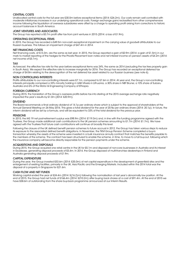#### CENTRAL COSTS

Unallocated central costs for the full year are £30.0m before exceptional items (2014: £26.2m). Our costs remain well controlled with moderate inflationary increases in our underlying operational costs. Foreign exchange gains reclassified from other comprehensive income following the liquidation of overseas subsidiaries were offset by a charge to operating profit arising from corrections to historic account balances in South America.

#### JOINT VENTURES AND ASSOCIATES

The Group has reported a £0.7m profit after tax from joint ventures in 2015 (2014: a loss of £1.9m).

#### OPERATING EXCEPTIONAL ITEMS

In 2015, the Group has recorded a £49.5m non-cash exceptional impairment on the carrying value of goodwill attributable to our Russian business. This follows an impairment charge of £47.4m in 2014.

#### NET FINANCING COSTS

Net financing costs, at £13.3m, are the same as last year. In 2015, the Group reported a gain of £0.9m (2014: a gain of £1.5m) in our mark to market reporting of the hedges for the Private Placement loan notes and net interest income on pension assets of £4.2m (2014: net income of £5.1m).

#### TAX

As forecast, the effective tax rate for the year before exceptional items was 24%, the same as 2014 (excluding the tax free property gain in South Asia). We expect the effective rate to increase marginally for 2016. The Group has recorded an exceptional deferred tax charge of £4.8m relating to the derecognition of the net deferred tax asset related to our Russian business (see note 6).

#### NON CONTROLLING INTERESTS

Profits attributable to our non-controlling interests were £7.1m, compared to £7.6m in 2014. At year end, the Group's non-controlling interests principally comprised a 33% minority holding in UAB Vitvela in Lithuania, a 30% share in NBT Brunei, a 10% share of Subaru Australia and 6% of the Motor & Engineering Company of Ethiopia.

#### FOREIGN CURRENCY

During 2015, the translation of the Group's overseas profits before tax into sterling at the 2015 average exchange rate negatively impacted the year's results by £1.0m (2014: £20.9m).

#### DIVIDEND

The Board recommends a final ordinary dividend of 14.1p per ordinary share which is subject to the approval of shareholders at the Annual General Meeting on 26 May 2016. This gives a total dividend for the year of 20.9p per ordinary share (2014: 20.1p). In future, the interim dividend will be set by a formula, and will be equivalent to 33% of the total dividend for the previous year.

#### **PENSIONS**

In 2015, the IAS 19 net post-retirement surplus was £98.9m (2014: £119.3m) and, in line with the funding programme agreed with the Trustees, the Group made additional cash contributions to the UK pension schemes amounting to £1.7m (2014: £1.7m). We have agreed with the Trustees that future cash contributions will continue at broadly this level.

Following the closure of the UK defined benefit pension schemes to future accrual in 2012, the Group has taken various steps to reduce its exposure to the associated defined benefit obligations. In November, the TKM Group Pension Scheme completed a buy-in transaction whereby the assets of the scheme were invested in a bulk insurance annuity contract that matches the benefits payable to the members of the scheme. The contract has been structured to enable the scheme, in time, to move to a full buy-out, following which the insurance company will become directly responsible for the pension payments under the scheme.

#### ACQUISITIONS AND DISPOSALS

During 2015, the Group acquired one retail centre in the UK for £5.1m and disposed of non-core businesses in Australia and its interest in Excelease, generating disposal proceeds of £5.4m. In 2014, the Group disposed of multi-franchise dealerships in Finland and Australia generating disposal proceeds of £1.9m.

#### CAPITAL EXPENDITURE

During the year, the Group invested £53.6m (2014: £35.0m) of net capital expenditure in the development of greenfield sites and the enlargement of existing facilities, primarily in the UK, Asia Pacific and the Emerging Markets. Included within the 2014 total was the disposal of a property in Singapore for £21.6m.

#### CASH FLOW AND NET FUNDS

Working capital ended the year at £24.4m (2014: £(16.2)m) following the normalisation of last year's abnormally low position. At the end of 2015, the Group had net funds of £166.4m (2014: £210.2m) after buying back shares at a cost of £91.4m. At the end of 2015 we have £58.6m of outstanding from the share buy-back programme announced at our Interim Results.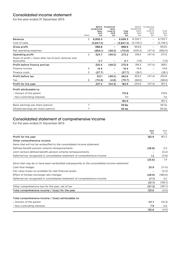# Consolidated income statement

For the year ended 31 December 2015

|                                                                        | Notes          | exceptional<br>items<br>2015<br>£m | Before Exceptional<br>items<br>(note 3)<br>2015<br>£m | Total<br>2015<br>£m | Before<br>exceptional<br>items<br>2014<br>Em | Exceptional<br>items<br>(note 3)<br>2014<br>Em | Total<br>2014<br>£m |
|------------------------------------------------------------------------|----------------|------------------------------------|-------------------------------------------------------|---------------------|----------------------------------------------|------------------------------------------------|---------------------|
| Revenue                                                                | 2              | 6,836.3                            | $\qquad \qquad \blacksquare$                          | 6.836.3             | 6,702.7                                      |                                                | 6,702.7             |
| Cost of sales                                                          |                | (5,847.5)                          |                                                       | (5,847.5)           | (5,749.1)                                    |                                                | (5,749.1)           |
| Gross profit                                                           |                | 988.8                              |                                                       | 988.8               | 953.6                                        | $\qquad \qquad -$                              | 953.6               |
| Net operating expenses                                                 |                | (664.1)                            | (49.5)                                                | (713.6)             | (635.2)                                      | (47.4)                                         | (682.6)             |
| Operating profit                                                       | $\overline{2}$ | 324.7                              | (49.5)                                                | 275.2               | 318.4                                        | (47.4)                                         | 271.0               |
| Share of profit / (loss) after tax of joint ventures and<br>associates |                | O.7                                |                                                       | O.7                 | (1.9)                                        |                                                | (1.9)               |
| Profit before finance and tax                                          |                | 325.4                              | (49.5)                                                | 275.9               | 316.5                                        | (47.4)                                         | 269.1               |
| Finance income                                                         | 4              | 14.4                               |                                                       | 14.4                | 14.8                                         |                                                | 14.8                |
| Finance costs                                                          | 5              | (27.7)                             |                                                       | (27.7)              | (28.1)                                       |                                                | (28.1)              |
| Profit before tax                                                      |                | 312.1                              | (49.5)                                                | 262.6               | 303.2                                        | (47.4)                                         | 255.8               |
| Tax                                                                    | 6              | (74.9)                             | (4.8)                                                 | (79.7)              | (68.6)                                       |                                                | (68.6)              |
| Profit for the year                                                    |                | 237.2                              | (54.3)                                                | 182.9               | 234.6                                        | (47.4)                                         | 187.2               |
| Profit attributable to:                                                |                |                                    |                                                       |                     |                                              |                                                |                     |
| - Owners of the parent                                                 |                |                                    |                                                       | 175.8               |                                              |                                                | 179.6               |
| - Non-controlling interests                                            |                |                                    |                                                       | 7.1                 |                                              |                                                | 7.6                 |
|                                                                        |                |                                    |                                                       | 182.9               |                                              |                                                | 187.2               |
| Basic earnings per share (pence)                                       | 7              |                                    |                                                       | 39.8p               |                                              |                                                | 39.7p               |
| Diluted earnings per share (pence)                                     | 7              |                                    |                                                       | 39.4 <sub>p</sub>   |                                              |                                                | 39.0p               |

# Consolidated statement of comprehensive income

For the year ended 31 December 2015

|                                                                                               | 2015<br>£m | 2014<br>Em |
|-----------------------------------------------------------------------------------------------|------------|------------|
| Profit for the year                                                                           | 182.9      | 187.2      |
| Other comprehensive income:                                                                   |            |            |
| Items that will not be reclassified to the consolidated income statement                      |            |            |
| Defined benefit pension scheme remeasurements                                                 | (26.8)     | 2.5        |
| Joint venture defined benefit pension scheme remeasurements                                   |            | (0.2)      |
| Deferred tax recognised in consolidated statement of comprehensive income                     | 1.2        | (0.9)      |
|                                                                                               | (25.6)     | 1.4        |
| Items that may be or have been reclassified subsequently to the consolidated income statement |            |            |
| Cash flow hedges                                                                              | 25.9       | (17.4)     |
| Fair value losses on available for sale financial assets                                      |            | (0.3)      |
| Effect of foreign exchange rate changes                                                       | (49.9)     | (180.6)    |
| Deferred tax recognised in consolidated statement of comprehensive income                     | (7.7)      | 5.2        |
|                                                                                               | (31.7)     | (193.1)    |
| Other comprehensive loss for the year, net of tax                                             | (57.3)     | (191.7)    |
| Total comprehensive income / (loss) for the year                                              | 125.6      | (4.5)      |

### Total comprehensive income / (loss) attributable to:

| - Non-controlling interests | 7.9   |       |
|-----------------------------|-------|-------|
|                             | 125.6 | (4.5) |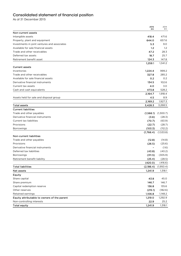# Consolidated statement of financial position

As at 31 December 2015

|                                              | 2015<br>£m                   | 2014<br>£m           |
|----------------------------------------------|------------------------------|----------------------|
| Non-current assets                           |                              |                      |
| Intangible assets                            | 418.4                        | 471.6                |
| Property, plant and equipment                | 644.0                        | 657.6                |
| Investments in joint ventures and associates | 5.3                          | 9.0                  |
| Available for sale financial assets          | 1.2                          | 1.2                  |
| Trade and other receivables                  | 47.2                         | 28.3                 |
| Deferred tax assets                          | 18.7                         | 25.7                 |
| Retirement benefit asset                     | 124.3                        | 147.8                |
|                                              | 1,259.1                      | 1,341.2              |
| <b>Current assets</b>                        |                              |                      |
| Inventories                                  | 1,224.4                      | 999.2                |
| Trade and other receivables                  | 327.8                        | 285.2                |
| Available for sale financial assets          | 0.2                          | 0.2                  |
| Derivative financial instruments             | 134.5                        | 102.6                |
| Current tax assets                           | 4.0                          | 3.0                  |
| Cash and cash equivalents                    | 473.8                        | 528.2                |
|                                              | 2,164.7                      | 1,918.4              |
| Assets held for sale and disposal group      | 4.5                          | 8.9                  |
|                                              | 2,169.2                      | 1,927.3              |
| <b>Total assets</b>                          | 3,428.3                      | 3,268.5              |
| <b>Current liabilities</b>                   |                              |                      |
| Trade and other payables                     | (1, 566.1)                   | (1,300.7)            |
| Derivative financial instruments             | (3.6)                        | (28.3)               |
| Current tax liabilities                      | (70.7)                       | (63.9)               |
| Provisions                                   | (22.7)                       | (28.7)               |
| <b>Borrowings</b>                            | (103.3)<br>(1,766.4)         | (112.2)<br>(1,533.8) |
| <b>Non-current liabilities</b>               |                              |                      |
| Trade and other payables                     | (12.8)                       | (14.8)               |
| Provisions                                   | (26.5)                       | (25.6)               |
| Derivative financial instruments             | $\qquad \qquad \blacksquare$ | (1.6)                |
| Deferred tax liabilities                     | (43.8)                       | (40.2)               |
| <b>Borrowings</b>                            | (311.5)                      | (305.9)              |
| Retirement benefit liability                 | (25.4)                       | (28.5)               |
|                                              | (420.0)                      | (416.6)              |
| <b>Total liabilities</b>                     | (2,186.4)                    | (1,950.4)            |
| <b>Net assets</b>                            | 1,241.9                      | 1,318.1              |
| <b>Equity</b>                                |                              |                      |
| Share capital                                | 43.8                         | 45.0                 |
| Share premium                                | 146.7                        | 146.7                |
| Capital redemption reserve                   | 136.8                        | 135.6                |
| Other reserves                               | (215.1)                      | (182.6)              |
| Retained earnings                            | 1,106.8                      | 1,148.2              |
| Equity attributable to owners of the parent  | 1,219.0                      | 1,292.9              |
| Non-controlling interests                    | 22.9                         | 25.2                 |
| <b>Total equity</b>                          | 1,241.9                      | 1,318.1              |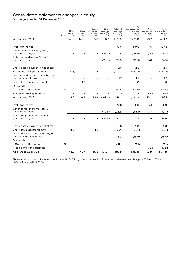# Consolidated statement of changes in equity

For the year ended 31 December 2015

|                                                              | Notes | Share<br>capital<br>£m | Share<br>premium<br>£m | Capital<br>redemption<br>reserve<br>£m | Other<br>reserves<br>(note 25)<br>Em | Retained<br>earnings<br>(note 26)<br>£m | Equity<br>attributable to<br>owners of the<br>parent<br>£m | Non<br>controlling<br>interests<br>£m | Total<br>shareholders'<br>equity<br>£m |
|--------------------------------------------------------------|-------|------------------------|------------------------|----------------------------------------|--------------------------------------|-----------------------------------------|------------------------------------------------------------|---------------------------------------|----------------------------------------|
| At 1 January 2014                                            |       | 46.5                   | 145.7                  | 134.1                                  | 8.7                                  | 1,135.0                                 | 1,470.0                                                    | 29.2                                  | 1,499.2                                |
| Profit for the year                                          |       |                        |                        |                                        |                                      | 179.6                                   | 179.6                                                      | 7.6                                   | 187.2                                  |
| Other comprehensive (loss) /<br>income for the year          |       |                        |                        | $\overline{\phantom{a}}$               | (191.3)                              | 1.4                                     | (189.9)                                                    | (1.8)                                 | (191.7)                                |
| Total comprehensive (loss) /<br>income for the year          |       |                        |                        |                                        | (191.3)                              | 181.0                                   | (10.3)                                                     | 5.8                                   | (4.5)                                  |
| Share-based payments, net of tax                             |       |                        |                        |                                        |                                      | 12.5                                    | 12.5                                                       |                                       | 12.5                                   |
| Share buy back programme                                     |       | (1.5)                  |                        | 1.5                                    |                                      | (100.0)                                 | (100.0)                                                    |                                       | (100.0)                                |
| Net disposal of own shares by the<br>Inchcape Employee Trust |       |                        |                        |                                        |                                      | 1.2                                     | 1.2                                                        |                                       | 1.2                                    |
| Issue of ordinary share capital                              |       |                        | 1.0                    |                                        |                                      |                                         | 1.0                                                        |                                       | 1.0                                    |
| Dividends:                                                   |       |                        |                        |                                        |                                      |                                         |                                                            |                                       |                                        |
| - Owners of the parent                                       | 8     |                        |                        |                                        |                                      | (81.5)                                  | (81.5)                                                     | $\qquad \qquad -$                     | (81.5)                                 |
| - Non-controlling interests                                  |       |                        |                        |                                        |                                      |                                         |                                                            | (9.8)                                 | (9.8)                                  |
| At 1 January 2015                                            |       | 45.0                   | 146.7                  | 135.6                                  | (182.6)                              | 1,148.2                                 | 1,292.9                                                    | 25.2                                  | 1,318.1                                |
| Profit for the year                                          |       |                        |                        |                                        |                                      | 175.8                                   | 175.8                                                      | 7.1                                   | 182.9                                  |
| Other comprehensive (loss) /<br>income for the year          |       |                        |                        |                                        | (32.5)                               | (25.6)                                  | (58.1)                                                     | 0.8                                   | (57.3)                                 |
| Total comprehensive income /<br>(loss) for the year          |       |                        |                        |                                        | (32.5)                               | 150.2                                   | 117.7                                                      | 7.9                                   | 125.6                                  |
| Share-based payments, net of tax                             |       |                        |                        |                                        |                                      | 9.8                                     | 9.8                                                        |                                       | 9.8                                    |
| Share buy back programme                                     |       | (1.2)                  |                        | 1.2                                    |                                      | (91.4)                                  | (91.4)                                                     |                                       | (91.4)                                 |
| Net purchase of own shares by the<br>Inchcape Employee Trust |       |                        |                        |                                        |                                      | (18.9)                                  | (18.9)                                                     |                                       | (18.9)                                 |
| Dividends:                                                   |       |                        |                        |                                        |                                      |                                         |                                                            |                                       |                                        |
| - Owners of the parent                                       | 8     |                        |                        |                                        |                                      | (91.1)                                  | (91.1)                                                     |                                       | (91.1)                                 |
| - Non-controlling interests                                  |       |                        |                        |                                        |                                      |                                         |                                                            | (10.2)                                | (10.2)                                 |
| At 31 December 2015                                          |       | 43.8                   | 146.7                  | 136.8                                  | (215.1)                              | 1,106.8                                 | 1,219.0                                                    | 22.9                                  | 1,241.9                                |

Share-based payments include a net tax credit of £0.2m (current tax credit of £2.0m and a deferred tax charge of £1.8m) (2014 – deferred tax credit of £3.0m).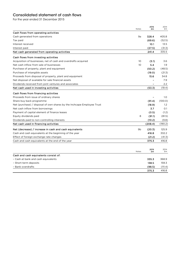# Consolidated statement of cash flows

For the year ended 31 December 2015

|                                                                        | Notes           | 2015<br>£m | 2014<br>£m |
|------------------------------------------------------------------------|-----------------|------------|------------|
| Cash flows from operating activities                                   |                 |            |            |
| Cash generated from operations                                         | 9a              | 328.4      | 405.8      |
| Tax paid                                                               |                 | (69.6)     | (52.5)     |
| Interest received                                                      |                 | 10.1       | 13.5       |
| Interest paid                                                          |                 | (27.5)     | (31.3)     |
| Net cash generated from operating activities                           |                 | 241.4      | 335.5      |
| Cash flows from investing activities                                   |                 |            |            |
| Acquisition of businesses, net of cash and overdrafts acquired         | 10              | (5.1)      | 3.6        |
| Net cash inflow from sale of businesses                                | 10 <sup>°</sup> | 5.4        | 1.9        |
| Purchase of property, plant and equipment                              |                 | (50.2)     | (48.5)     |
| Purchase of intangible assets                                          |                 | (19.0)     | (21.3)     |
| Proceeds from disposal of property, plant and equipment                |                 | 15.6       | 34.8       |
| Net disposal of available for sale financial assets                    |                 |            | 7.9        |
| Dividends received from joint ventures and associates                  |                 |            | 2.2        |
| Net cash used in investing activities                                  |                 | (53.3)     | (19.4)     |
| Cash flows from financing activities                                   |                 |            |            |
| Proceeds from issue of ordinary shares                                 |                 |            | 1.0        |
| Share buy back programme                                               |                 | (91.4)     | (100.0)    |
| Net (purchase) / disposal of own shares by the Inchcape Employee Trust |                 | (18.9)     | 1.2        |
| Net cash inflow from borrowings                                        |                 | 3.7        | O.1        |
| Payment of capital element of finance leases                           |                 | (0.5)      | (1.2)      |
| Equity dividends paid                                                  | 8               | (91.1)     | (81.5)     |
| Dividends paid to non-controlling interests                            |                 | (10.2)     | (9.8)      |
| Net cash used in financing activities                                  |                 | (208.4)    | (190.2)    |
| Net (decrease) / increase in cash and cash equivalents                 | 9b              | (20.3)     | 125.9      |
| Cash and cash equivalents at the beginning of the year                 |                 | 416.8      | 332.2      |
| Effect of foreign exchange rate changes                                |                 | (21.2)     | (41.3)     |
| Cash and cash equivalents at the end of the year                       |                 | 375.3      | 416.8      |
|                                                                        |                 |            |            |
|                                                                        | Notes           | 2015<br>£m | 2014<br>£m |
| Cash and cash equivalents consist of:                                  |                 |            |            |
| - Cash at bank and cash equivalents                                    |                 | 335.3      | 368.9      |
| - Short-term deposits                                                  |                 | 138.5      | 159.3      |
| - Bank overdrafts                                                      |                 | (98.5)     | (111.4)    |
|                                                                        |                 | 375.3      | 416.8      |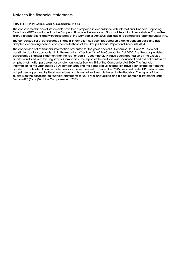# Notes to the financial statements

#### 1 BASIS OF PREPARATION AND ACCOUNTING POLICIES

The consolidated financial statements have been prepared in accordance with International Financial Reporting Standards (IFRS) as adopted by the European Union and International Financial Reporting Interpretation Committee (IFRIC) interpretations and with those parts of the Companies Act 2006 applicable to companies reporting under IFRS.

The condensed set of consolidated financial information has been prepared on a going concern basis and has adopted accounting policies consistent with those of the Group's Annual Report and Accounts 2014.

The condensed set of financial information presented for the years ended 31 December 2014 and 2015 do not constitute statutory accounts within the meaning of Section 434 of the Companies Act 2006. The Group's published consolidated financial statements for the year ended 31 December 2014 have been reported on by the Group's auditors and filed with the Registrar of Companies. The report of the auditors was unqualified and did not contain an emphasis of matter paragraph or a statement under Section 498 of the Companies Act 2006. The financial information for the year ended 31 December 2015 and the comparative information have been extracted from the audited consolidated financial statements for the year ended 31 December 2015 prepared under IFRS, which have not yet been approved by the shareholders and have not yet been delivered to the Registrar. The report of the auditors on the consolidated financial statements for 2015 was unqualified and did not contain a statement under Section 498 (2) or (3) of the Companies Act 2006.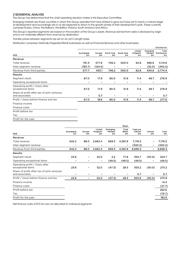#### 2 SEGMENTAL ANALYSIS

The Group has determined that the chief operating decision maker is the Executive Committee.

Emerging markets are those countries in which the Group operates that have started to grow but have yet to reach a mature stage of development and accordingly are in or are expected to return to the growth phase of their development cycle. These currently comprise Russia, China, the Balkans, the Baltics, Poland, South America and Africa.

The Group's reported segments are based on the location of the Group's assets. Revenue earned from sales is disclosed by origin and is not materially different from revenue by destination.

Transfer prices between segments are set on an arm's length basis.

Distribution comprises Vertically Integrated Retail businesses as well as Financial Services and other businesses.

|                                                               |                              |              |                  |                  |                              |                           | <b>Distribution</b>                |
|---------------------------------------------------------------|------------------------------|--------------|------------------|------------------|------------------------------|---------------------------|------------------------------------|
| 2015                                                          | Australasia<br>£m            | Europe<br>£m | North Asia<br>£m | South Asia<br>£m | United<br>Kingdom<br>£m      | Emerging<br>Markets<br>£m | Total<br><b>Distribution</b><br>£m |
| Revenue                                                       |                              |              |                  |                  |                              |                           |                                    |
| Total revenue                                                 | 761.4                        | 577.6        | 746.2            | 500.0            | 62.8                         | 466.6                     | 3,114.6                            |
| Inter-segment revenue                                         | (183.7)                      | (124.5)      |                  |                  | $\qquad \qquad \blacksquare$ | (32.0)                    | (340.2)                            |
| Revenue from third parties                                    | 577.7                        | 453.1        | 746.2            | 500.0            | 62.8                         | 434.6                     | 2,774.4                            |
| <b>Results</b>                                                |                              |              |                  |                  |                              |                           |                                    |
| Segment result                                                | 67.0                         | 17.9         | 80.0             | 51.9             | 11.4                         | 48.7                      | 276.9                              |
| Operating exceptional items                                   | -                            |              |                  |                  |                              |                           |                                    |
| Operating profit / (loss) after<br>exceptional items          | 67.0                         | 17.9         | 80.0             | 51.9             | 11.4                         | 48.7                      | 276.9                              |
| Share of profit after tax of joint ventures<br>and associates | $\qquad \qquad \blacksquare$ | 0.7          |                  |                  |                              |                           | O.7                                |
| Profit / (loss) before finance and tax                        | 67.0                         | 18.6         | 80.0             | 51.9             | 11.4                         | 48.7                      | 277.6                              |
| Finance income                                                |                              |              |                  |                  |                              |                           |                                    |
| Finance costs                                                 |                              |              |                  |                  |                              |                           |                                    |

Profit before tax

Tax

Profit for the year

|                                                               |                   |                          |                          | Retail                           |                       |                                   |                          |             |
|---------------------------------------------------------------|-------------------|--------------------------|--------------------------|----------------------------------|-----------------------|-----------------------------------|--------------------------|-------------|
| 2015                                                          | Australasia<br>£m | Europe<br>£m             | United<br>Kingdom<br>£m  | Emerging<br><b>Markets</b><br>£m | Total<br>Retail<br>£m | <b>Total pre</b><br>Central<br>£m | Central<br>£m            | Total<br>£m |
| Revenue                                                       |                   |                          |                          |                                  |                       |                                   |                          |             |
| Total revenue                                                 | 642.2             | 88.0                     | 2,662.4                  | 669.3                            | 4,061.9               | 7,176.5                           | $\overline{\phantom{0}}$ | 7,176.5     |
| Inter-segment revenue                                         |                   |                          |                          |                                  |                       | (340.2)                           | $\overline{\phantom{0}}$ | (340.2)     |
| Revenue from third parties                                    | 642.2             | 88.0                     | 2,662.4                  | 669.3                            | 4,061.9               | 6,836.3                           | $\overline{\phantom{0}}$ | 6,836.3     |
| <b>Results</b>                                                |                   |                          |                          |                                  |                       |                                   |                          |             |
| Segment result                                                | 23.6              | $\overline{\phantom{a}}$ | 52.0                     | 2.2                              | 77.8                  | 354.7                             | (30.0)                   | 324.7       |
| Operating exceptional items                                   |                   |                          | $\overline{\phantom{a}}$ | (49.5)                           | (49.5)                | (49.5)                            | $\overline{\phantom{a}}$ | (49.5)      |
| Operating profit / (loss) after<br>exceptional items          | 23.6              |                          | 52.0                     | (47.3)                           | 28.3                  | 305.2                             | (30.0)                   | 275.2       |
| Share of profit after tax of joint ventures<br>and associates |                   | -                        |                          |                                  |                       | 0.7                               |                          | O.7         |
| Profit / (loss) before finance and tax                        | 23.6              | $\overline{\phantom{a}}$ | 52.0                     | (47.3)                           | 28.3                  | 305.9                             | (30.0)                   | 275.9       |
| Finance income                                                |                   |                          |                          |                                  |                       |                                   |                          | 14.4        |
| Finance costs                                                 |                   |                          |                          |                                  |                       |                                   |                          | (27.7)      |
| Profit before tax                                             |                   |                          |                          |                                  |                       |                                   |                          | 262.6       |
| Tax                                                           |                   |                          |                          |                                  |                       |                                   |                          | (79.7)      |
| Profit for the year                                           |                   |                          |                          |                                  |                       |                                   |                          | 182.9       |
|                                                               |                   |                          |                          |                                  |                       |                                   |                          |             |

Net finance costs of £13.3m are not allocated to individual segments.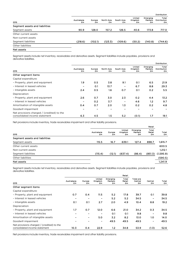|                                |                   |              |                  |                  |                         |                           | <b>Distribution</b>                |
|--------------------------------|-------------------|--------------|------------------|------------------|-------------------------|---------------------------|------------------------------------|
| 2015                           | Australasia<br>£m | Europe<br>£m | North Asia<br>£m | South Asia<br>£m | United<br>Kingdom<br>£m | Emerging<br>Markets<br>£m | Total<br><b>Distribution</b><br>£m |
| Segment assets and liabilities |                   |              |                  |                  |                         |                           |                                    |
| Segment assets                 | 90.9              | 128.0        | 157.2            | 126.5            | 40.6                    | 173.8                     | 717.0                              |
| Other current assets           |                   |              |                  |                  |                         |                           |                                    |
| Non-current assets             |                   |              |                  |                  |                         |                           |                                    |
| Segment liabilities            | (218.6)           | (102.1)      | (123.3)          | (109.6)          | (50.2)                  | (140.8)                   | (744.6)                            |
| Other liabilities              |                   |              |                  |                  |                         |                           |                                    |
| Net assets                     |                   |              |                  |                  |                         |                           |                                    |

Segment assets include net inventory, receivables and derivative assets. Segment liabilities include payables, provisions and derivative liabilities.

|                                                                             |                   |              |                  |                  |                         |                           | <b>Distribution</b>         |
|-----------------------------------------------------------------------------|-------------------|--------------|------------------|------------------|-------------------------|---------------------------|-----------------------------|
| 2015                                                                        | Australasia<br>£m | Europe<br>£m | North Asia<br>£m | South Asia<br>£m | United<br>Kingdom<br>£m | Emerging<br>Markets<br>£m | Total<br>Distribution<br>£m |
| Other segment items                                                         |                   |              |                  |                  |                         |                           |                             |
| Capital expenditure:                                                        |                   |              |                  |                  |                         |                           |                             |
| - Property, plant and equipment                                             | 1.9               | O.5          | 3.8              | 9.1              | O.1                     | 6.5                       | 21.9                        |
| - Interest in leased vehicles                                               | -                 | 0.1          | 13.7             | -                | 6.7                     | 8.8                       | 29.3                        |
| - Intangible assets                                                         | 2.4               | O.5          | 1.6              | O.7              | O.1                     | O.2                       | 5.5                         |
| Depreciation:                                                               |                   |              |                  |                  |                         |                           |                             |
| - Property, plant and equipment                                             | 2.6               | O.7          | 3.0              | 2.3              | O.2                     | 4.4                       | 13.2                        |
| - Interest in leased vehicles                                               |                   | O.2          | 3.7              |                  | 4.6                     | 1.2                       | 9.7                         |
| Amortisation of intangible assets                                           | 0.4               | O.7          | 2.0              | 1.3              | O.2                     | O.2                       | 4.8                         |
| Goodwill impairment                                                         |                   |              |                  |                  |                         |                           |                             |
| Net provisions charged / (credited) to the<br>consolidated income statement | 6.3               | 4.5          | 1.5              | 5.2              | (0.1)                   | 1.7                       | 19.1                        |

Net provisions include inventory, trade receivables impairment and other liability provisions.

|                   |              |                         |                           | Retail                |             |
|-------------------|--------------|-------------------------|---------------------------|-----------------------|-------------|
| Australasia<br>£m | Europe<br>£m | United<br>Kingdom<br>£m | Emerging<br>Markets<br>£m | Total<br>Retail<br>£m | Total<br>£m |
|                   |              |                         |                           |                       |             |
| 115.5             | 16.7         | 639.1                   | 127.4                     | 898.7                 | 1,615.7     |
|                   |              |                         |                           |                       | 600.5       |
|                   |              |                         |                           |                       | 1,212.1     |
| (115.4)           | (12.1)       | (637.4)                 | (86.4)                    | (851.3)               | (1,595.9)   |
|                   |              |                         |                           |                       | (590.5)     |
|                   |              |                         |                           |                       | 1,241.9     |
|                   |              |                         |                           |                       |             |

Segment assets include net inventory, receivables and derivative assets. Segment liabilities include payables, provisions and derivative liabilities.

|                                                                             | Retail                   |                              |                              |                           |                       |                                   |                              |             |  |  |  |
|-----------------------------------------------------------------------------|--------------------------|------------------------------|------------------------------|---------------------------|-----------------------|-----------------------------------|------------------------------|-------------|--|--|--|
| 2015                                                                        | Australasia<br>£m        | Europe<br>£m                 | United<br>Kingdom<br>£m      | Emerging<br>Markets<br>£m | Total<br>Retail<br>£m | <b>Total pre</b><br>Central<br>£m | Central<br>£m                | Total<br>£m |  |  |  |
| Other segment items                                                         |                          |                              |                              |                           |                       |                                   |                              |             |  |  |  |
| Capital expenditure:                                                        |                          |                              |                              |                           |                       |                                   |                              |             |  |  |  |
| - Property, plant and equipment                                             | 0.7                      | O.4                          | 11.5                         | 5.2                       | 17.8                  | 39.7                              | 0.1                          | 39.8        |  |  |  |
| - Interest in leased vehicles                                               | -                        | -                            |                              | 5.2                       | 5.2                   | 34.5                              | $\qquad \qquad \blacksquare$ | 34.5        |  |  |  |
| - Intangible assets                                                         | O.1                      | O.1                          | 2.7                          | 2.0                       | 4.9                   | 10.4                              | 8.8                          | 19.2        |  |  |  |
| Depreciation:                                                               |                          |                              |                              |                           |                       |                                   |                              |             |  |  |  |
| - Property, plant and equipment                                             | 1.7                      | O.7                          | 12.0                         | 6.6                       | <b>21.0</b>           | 34.2                              | 0.3                          | 34.5        |  |  |  |
| - Interest in leased vehicles                                               |                          | $\qquad \qquad \blacksquare$ | $\qquad \qquad \blacksquare$ | 0.1                       | 0.1                   | 9.8                               | $\qquad \qquad \blacksquare$ | 9.8         |  |  |  |
| Amortisation of intangible assets                                           |                          | $\qquad \qquad \blacksquare$ | 5.0 <sub>2</sub>             | 3.2                       | 8.2                   | 13.0                              | 1.0 <sub>1</sub>             | 14.0        |  |  |  |
| Goodwill impairment                                                         | $\overline{\phantom{0}}$ | $\overline{\phantom{0}}$     | $\overline{\phantom{a}}$     | 49.5                      | 49.5                  | 49.5                              | $\overline{\phantom{a}}$     | 49.5        |  |  |  |
| Net provisions charged / (credited) to the<br>consolidated income statement | 10.3                     | O.4                          | 22.9                         | 1.2                       | 34.8                  | 53.9                              | (1.3)                        | 52.6        |  |  |  |

Net provisions include inventory, trade receivables impairment and other liability provisions.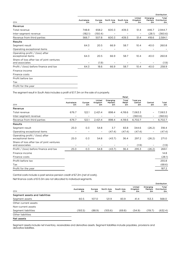|                                                             |                   |              |                  |                  |                          |                           | Distribution                       |
|-------------------------------------------------------------|-------------------|--------------|------------------|------------------|--------------------------|---------------------------|------------------------------------|
| 2014                                                        | Australasia<br>£m | Europe<br>£m | North Asia<br>£m | South Asia<br>£m | United<br>Kingdom<br>£m  | Emerging<br>Markets<br>£m | Total<br><b>Distribution</b><br>£m |
| Revenue                                                     |                   |              |                  |                  |                          |                           |                                    |
| Total revenue                                               | 748.8             | 658.2        | 600.3            | 439.3            | 51.4                     | 446.7                     | 2,944.7                            |
| Inter-segment revenue                                       | (182.1)           | (150.4)      |                  |                  | $\overline{\phantom{a}}$ | (28.1)                    | (360.6)                            |
| Revenue from third parties                                  | 566.7             | 507.8        | 600.3            | 439.3            | 51.4                     | 418.6                     | 2,584.1                            |
| <b>Results</b>                                              |                   |              |                  |                  |                          |                           |                                    |
| Segment result                                              | 64.3              | 20.5         | 66.9             | 58.7             | 10.4                     | 40.0                      | 260.8                              |
| Operating exceptional items                                 | $\qquad \qquad -$ |              | $\qquad \qquad$  |                  |                          |                           |                                    |
| Operating profit / (loss) after<br>exceptional items        | 64.3              | 20.5         | 66.9             | 58.7             | 10.4                     | 40.0                      | 260.8                              |
| Share of loss after tax of joint ventures<br>and associates | $\qquad \qquad -$ | (1.9)        |                  |                  |                          |                           | (1.9)                              |
| Profit / (loss) before finance and tax                      | 64.3              | 18.6         | 66.9             | 58.7             | 10.4                     | 40.0                      | 258.9                              |
| Finance income                                              |                   |              |                  |                  |                          |                           |                                    |
| Finance costs                                               |                   |              |                  |                  |                          |                           |                                    |
| Profit before tax                                           |                   |              |                  |                  |                          |                           |                                    |
| Tax                                                         |                   |              |                  |                  |                          |                           |                                    |

Profit for the year

The segment result in South Asia includes a profit of £17.3m on the sale of a property.

| 2014                                                        |                   |                          |                          |                                  | Retail                |                                   |                          |             |
|-------------------------------------------------------------|-------------------|--------------------------|--------------------------|----------------------------------|-----------------------|-----------------------------------|--------------------------|-------------|
|                                                             | Australasia<br>£m | Europe<br>£m             | United<br>Kingdom<br>£m  | Emerging<br><b>Markets</b><br>£m | Total<br>Retail<br>£m | <b>Total pre</b><br>Central<br>£m | Central<br>£m            | Total<br>£m |
| Revenue                                                     |                   |                          |                          |                                  |                       |                                   |                          |             |
| Total revenue                                               | 676.7             | 122.1                    | 2,421.4                  | 898.4                            | 4,118.6               | 7,063.3                           | ٠                        | 7,063.3     |
| Inter-segment revenue                                       |                   |                          |                          |                                  |                       | (360.6)                           | $\qquad \qquad -$        | (360.6)     |
| Revenue from third parties                                  | 676.7             | 122.1                    | 2,421.4                  | 898.4                            | 4,118.6               | 6,702.7                           | $\qquad \qquad -$        | 6,702.7     |
| <b>Results</b>                                              |                   |                          |                          |                                  |                       |                                   |                          |             |
| Segment result                                              | 25.0              | O.3                      | 54.8                     | 3.7                              | 83.8                  | 344.6                             | (26.2)                   | 318.4       |
| Operating exceptional items                                 | -                 | $\overline{\phantom{a}}$ | $\overline{\phantom{a}}$ | (47.4)                           | (47.4)                | (47.4)                            | $\overline{\phantom{m}}$ | (47.4)      |
| Operating profit / (loss) after<br>exceptional items        | 25.0              | 0.3                      | 54.8                     | (43.7)                           | 36.4                  | 297.2                             | (26.2)                   | 271.0       |
| Share of loss after tax of joint ventures<br>and associates | -                 | -                        |                          |                                  |                       | (1.9)                             |                          | (1.9)       |
| Profit / (loss) before finance and tax                      | 25.0              | O.3                      | 54.8                     | (43.7)                           | 36.4                  | 295.3                             | (26.2)                   | 269.1       |
| Finance income                                              |                   |                          |                          |                                  |                       |                                   |                          | 14.8        |
| Finance costs                                               |                   |                          |                          |                                  |                       |                                   |                          | (28.1)      |
| Profit before tax                                           |                   |                          |                          |                                  |                       |                                   |                          | 255.8       |
| Tax                                                         |                   |                          |                          |                                  |                       |                                   |                          | (68.6)      |
| Profit for the year                                         |                   |                          |                          |                                  |                       |                                   |                          | 187.2       |
|                                                             |                   |                          |                          |                                  |                       |                                   |                          |             |

Central costs include a past service pension credit of £7.2m (net of costs).

Net finance costs of £13.3m are not allocated to individual segments.

|                                |                   |              |                  |                  |                         |                           | <b>Distribution</b>                |
|--------------------------------|-------------------|--------------|------------------|------------------|-------------------------|---------------------------|------------------------------------|
| 2014                           | Australasia<br>£m | Europe<br>£m | North Asia<br>£m | South Asia<br>£m | United<br>Kingdom<br>£m | Emerging<br>Markets<br>£m | Total<br><b>Distribution</b><br>£m |
| Segment assets and liabilities |                   |              |                  |                  |                         |                           |                                    |
| Segment assets                 | 60.5              | 107.0        | 121.9            | 83.9             | 41.4                    | 153.3                     | 568.0                              |
| Other current assets           |                   |              |                  |                  |                         |                           |                                    |
| Non-current assets             |                   |              |                  |                  |                         |                           |                                    |
| Segment liabilities            | (193.5)           | (88.9)       | (105.6)          | (69.8)           | (54.9)                  | (119.7)                   | (632.4)                            |
| Other liabilities              |                   |              |                  |                  |                         |                           |                                    |
| Net assets                     |                   |              |                  |                  |                         |                           |                                    |

Segment assets include net inventory, receivables and derivative assets. Segment liabilities include payables, provisions and derivative liabilities.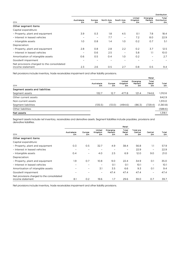|                                                                |                   |              |                  |                          |                         |                                  | <b>Distribution</b>                |
|----------------------------------------------------------------|-------------------|--------------|------------------|--------------------------|-------------------------|----------------------------------|------------------------------------|
| 2014                                                           | Australasia<br>£m | Europe<br>£m | North Asia<br>£m | South Asia<br>£m         | United<br>Kingdom<br>£m | <b>Emerging</b><br>Markets<br>£m | Total<br><b>Distribution</b><br>£m |
| Other segment items                                            |                   |              |                  |                          |                         |                                  |                                    |
| Capital expenditure:                                           |                   |              |                  |                          |                         |                                  |                                    |
| - Property, plant and equipment                                | 3.9               | O.3          | 1.8              | 4.5                      | O.1                     | 7.8                              | 18.4                               |
| - Interest in leased vehicles                                  |                   |              | 7.7              | $\overline{\phantom{a}}$ | 7.2                     | 8.0                              | 22.9                               |
| - Intangible assets                                            | 1.0               | O.8          | 1.4              | 1.0                      | O.2                     | 0.7                              | 5.1                                |
| Depreciation:                                                  |                   |              |                  |                          |                         |                                  |                                    |
| - Property, plant and equipment                                | 2.8               | O.8          | 2.8              | 2.2                      | O.2                     | 3.7                              | 12.5                               |
| - Interest in leased vehicles                                  | -                 | O.6          | 2.5              | $\overline{\phantom{a}}$ | 5.8                     | 1.1                              | 10.0                               |
| Amortisation of intangible assets                              | 0.6               | O.5          | O.4              | 1.0                      | O.2                     | $\overline{\phantom{a}}$         | 2.7                                |
| Goodwill impairment                                            |                   |              |                  |                          |                         |                                  |                                    |
| Net provisions charged to the consolidated<br>income statement | 2.3               | 2.6          | O.5              | 2.7                      | O.8                     | O.5                              | 9.4                                |

Net provisions include inventory, trade receivables impairment and other liability provisions.

|                                |                   |              |                         |                           | Retail                |             |
|--------------------------------|-------------------|--------------|-------------------------|---------------------------|-----------------------|-------------|
| 2014                           | Australasia<br>£m | Europe<br>£m | United<br>Kingdom<br>£m | Emerging<br>Markets<br>£m | Total<br>Retail<br>£m | Total<br>£m |
| Segment assets and liabilities |                   |              |                         |                           |                       |             |
| Segment assets                 | 132.7             | 12.7         | 477.8                   | 121.4                     | 744.6                 | 1,312.6     |
| Other current assets           |                   |              |                         |                           |                       | 642.9       |
| Non-current assets             |                   |              |                         |                           |                       | 1,313.0     |
| Segment liabilities            | (135.5)           | (13.0)       | (494.6)                 | (86.3)                    | (729.4)               | (1,361.8)   |
| Other liabilities              |                   |              |                         |                           |                       | (588.6)     |
| Net assets                     |                   |              |                         |                           |                       | 1,318.1     |
|                                |                   |              |                         |                           |                       |             |

Segment assets include net inventory, receivables and derivative assets. Segment liabilities include payables, provisions and derivative liabilities.

|                                                                |                          |                          |                          |                                  | Retail                   |                                   |                              |             |
|----------------------------------------------------------------|--------------------------|--------------------------|--------------------------|----------------------------------|--------------------------|-----------------------------------|------------------------------|-------------|
| 2014                                                           | Australasia<br>£m        | Europe<br>£m             | United<br>Kingdom<br>£m  | <b>Emerging</b><br>Markets<br>£m | Total<br>Retail<br>£m    | <b>Total pre</b><br>Central<br>£m | Central<br>£m                | Total<br>£m |
| Other segment items                                            |                          |                          |                          |                                  |                          |                                   |                              |             |
| Capital expenditure:                                           |                          |                          |                          |                                  |                          |                                   |                              |             |
| - Property, plant and equipment                                | O.3                      | O.5                      | 32.7                     | 4.9                              | 38.4                     | 56.8                              | 1.1                          | 57.9        |
| - Interest in leased vehicles                                  | $\overline{\phantom{a}}$ |                          |                          |                                  | $\overline{\phantom{0}}$ | 22.9                              | $\qquad \qquad -$            | 22.9        |
| - Intangible assets                                            | O.4                      |                          | 4.0                      | 2.5                              | 6.9                      | 12.0                              | 9.0                          | 21.0        |
| Depreciation:                                                  |                          |                          |                          |                                  |                          |                                   |                              |             |
| - Property, plant and equipment                                | 1.9                      | O.7                      | 10.8                     | 9.0                              | 22.4                     | 34.9                              | O.1                          | 35.0        |
| - Interest in leased vehicles                                  |                          |                          | $\overline{\phantom{a}}$ | O.1                              | O.1                      | 10.1                              |                              | 10.1        |
| Amortisation of intangible assets                              | $\overline{\phantom{a}}$ | $\overline{\phantom{a}}$ | 3.1                      | 3.5                              | 6.6                      | 9.3                               | O.1                          | 9.4         |
| Goodwill impairment                                            | $\overline{\phantom{a}}$ |                          | $\overline{\phantom{a}}$ | 47.4                             | 47.4                     | 47.4                              | $\qquad \qquad \blacksquare$ | 47.4        |
| Net provisions charged to the consolidated<br>income statement | 8.1                      | O.2                      | 19.6                     | 1.7                              | 29.6                     | 39.0                              | 0.7                          | 39.7        |

Net provisions include inventory, trade receivables impairment and other liability provisions.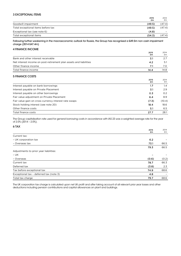#### 3 EXCEPTIONAL ITEMS

|                                    | 2015<br>£m | 2014<br>£m |
|------------------------------------|------------|------------|
| Goodwill impairment                | (49.5)     | (47.4)     |
| Total exceptional items before tax | (49.5)     | (47.4)     |
| Exceptional tax (see note 6)       | (4.8)      |            |
| Total exceptional items            | (54.3)     | (47.4)     |

Following further weakening in the macroeconomic outlook for Russia, the Group has recognised a £49.5m non cash impairment charge (2014 £47.4m)

#### 4 FINANCE INCOME

|                                                                    | 2015<br>£m | 2014<br>£m |
|--------------------------------------------------------------------|------------|------------|
| Bank and other interest receivable                                 | 3.1        | 2.7        |
| Net interest income on post-retirement plan assets and liabilities | 4.2        | 5.1        |
| Other finance income                                               | 7.1        | 7.O        |
| Total finance income                                               | 14.4       | 14.8       |

#### 5 FINANCE COSTS

|                                                       | 2015<br>£m | 2014<br>£m |
|-------------------------------------------------------|------------|------------|
| Interest payable on bank borrowings                   | 1.7        | 1.4        |
| Interest payable on Private Placement                 | 3.1        | 2.9        |
| Interest payable on other borrowings                  | 0.3        | O.2        |
| Fair value adjustment on Private Placement            | 6.4        | 8.9        |
| Fair value gain on cross currency interest rate swaps | (7.3)      | (10.4)     |
| Stock holding interest (see note 20)                  | 18.4       | 18.6       |
| Other finance costs                                   | 5.1        | 6.5        |
| Total finance costs                                   | 27.7       | 28.1       |

The Group capitalisation rate used for general borrowing costs in accordance with IAS 23 was a weighted average rate for the year of 2.0% (2014 – 2.0%).

#### 6 TAX

|                                         | 2015<br>£m | 2014<br>£m |
|-----------------------------------------|------------|------------|
| Current tax:                            |            |            |
| - UK corporation tax                    | 6.2        |            |
| - Overseas tax                          | 73.1       | 66.5       |
|                                         | 79.3       | 66.5       |
| Adjustments to prior year liabilities:  |            |            |
| $- UK$                                  |            |            |
| - Overseas                              | (0.6)      | (0.2)      |
| Current tax                             | 78.7       | 66.3       |
| Deferred tax                            | (3.8)      | 2.3        |
| Tax before exceptional tax              | 74.9       | 68.6       |
| Exceptional tax - deferred tax (note 3) | 4.8        |            |
| Total tax charge                        | 79.7       | 68.6       |

The UK corporation tax charge is calculated upon net UK profit and after taking account of all relevant prior year losses and other deductions including pension contributions and capital allowances on plant and buildings.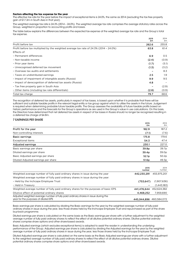#### **Factors affecting the tax expense for the year**

The effective tax rate for the year before the impact of exceptional items is 24.0%, the same as 2014 (excluding the tax free property gain of £17.3m in South Asia in that year).

The weighted average tax rate is 24.3% (2014 – 24.0%). The weighted average tax rate comprises the average statutory rates across the Group, weighted in proportion to accounting profits and losses.

The table below explains the differences between the expected tax expense at the weighted average tax rate and the Group's total tax expense.

|                                                                                       | 2015<br>£m | 2014<br>£m |
|---------------------------------------------------------------------------------------|------------|------------|
| Profit before tax                                                                     | 262.6      | 255.8      |
| Profit before tax multiplied by the weighted average tax rate of 24.3% (2014 - 24.0%) | 63.8       | 61.4       |
| Effects of:                                                                           |            |            |
| - Permanent differences                                                               | 6.9        | 0.5        |
| - Non-taxable income                                                                  | (2.4)      | (0.9)      |
| - Prior year items                                                                    | (1.7)      | (5.1)      |
| - Unrecognised deferred tax movement                                                  | (1.3)      | (3.2)      |
| - Overseas tax audits and settlements                                                 |            | 8.3        |
| - Taxes on undistributed earnings                                                     | 2.5        | 1.9        |
| - Impact of impairment of intangible assets (Russia)                                  | 9.9        | 9.5        |
| - Impact of derecognition of deferred tax assets (Russia)                             | 4.8        |            |
| - Tax free property gain in South Asia                                                |            | (2.9)      |
| - Other items (including tax rate differentials)                                      | (2.8)      | (0.9)      |
| Total tax charge                                                                      | 79.7       | 68.6       |

The recognition of deferred tax assets, particularly in respect of tax losses, is based upon whether it is probable that there will be sufficient and suitable taxable profits in the relevant legal entity or tax group against which to utilise the assets in the future. Judgement is required when determining probable future taxable profits. The Group assesses the availability of future taxable profits based on historic performance and the forecasts for the Group's operations as are used in the Group's value in use calculations. On this basis, the Directors have determined that net deferred tax assets in respect of tax losses in Russia should no longer be recognised resulting in a deferred tax charge of £4.8m.

#### 7 EARNINGS PER SHARE

|                                                                                                                            | 2015<br>£m              | 2014<br>Em     |
|----------------------------------------------------------------------------------------------------------------------------|-------------------------|----------------|
| Profit for the year                                                                                                        | 182.9                   | 187.2          |
| Non-controlling interests                                                                                                  | (7.1)                   | (7.6)          |
| <b>Basic earnings</b>                                                                                                      | 175.8                   | 179.6          |
| Exceptional items                                                                                                          | 54.3                    | 47.4           |
| Adjusted earnings                                                                                                          | 230.1                   | 227.0          |
| Basic earnings per share                                                                                                   | 39.8p                   | 39.7p          |
| Diluted earnings per share                                                                                                 | 39.4 <sub>p</sub>       | 39.0p          |
| Basic Adjusted earnings per share                                                                                          | 52.1p                   | 50.2p          |
| Diluted Adjusted earnings per share                                                                                        | 51.6p                   | 49.3p          |
|                                                                                                                            |                         |                |
|                                                                                                                            | 2015<br>number          | 2014<br>number |
| Weighted average number of fully paid ordinary shares in issue during the year                                             | 442,230,291             | 455.975.201    |
| Weighted average number of fully paid ordinary shares in issue during the year:                                            |                         |                |
| - Held by the Inchcape Employee Trust                                                                                      | (753, 647)              | (1,907,636)    |
| - Held in Treasury                                                                                                         |                         | (1,443,183)    |
| Weighted average number of fully paid ordinary shares for the purposes of basic EPS                                        | 441,476,644             | 452,624,382    |
| Dilutive effect of potential ordinary shares                                                                               | 4,468,252               | 7,959,690      |
| Adjusted weighted average number of fully paid ordinary shares in issue during the<br>year for the purposes of diluted EPS | 445,944,896 460,584,072 |                |

Basic earnings per share is calculated by dividing the Basic earnings for the year by the weighted average number of fully paid ordinary shares in issue during the year, less those shares held by the Inchcape Employee Trust and repurchased as part of the share buy-back programme.

Diluted earnings per share is calculated on the same basis as the Basic earnings per share with a further adjustment to the weighted average number of fully paid ordinary shares to reflect the effect of all dilutive potential ordinary shares. Dilutive potential ordinary shares comprise share options and other share-based awards.

Basic Adjusted earnings (which excludes exceptional items) is adopted to assist the reader in understanding the underlying performance of the Group. Adjusted earnings per share is calculated by dividing the Adjusted earnings for the year by the weighted average number of fully paid ordinary shares in issue during the year, less those shares held by the Inchcape Employee Trust.

Diluted Adjusted earnings per share is calculated on the same basis as the Basic Adjusted earnings per share with a further adjustment to the weighted average number of fully paid ordinary shares to reflect the effect of all dilutive potential ordinary shares. Dilutive potential ordinary shares comprise share options and other share-based awards.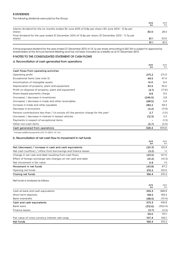#### 8 DIVIDENDS

The following dividends were paid by the Group:

|                                                                                                             | 2015<br>£m | 2014<br>£m |
|-------------------------------------------------------------------------------------------------------------|------------|------------|
| Interim dividend for the six months ended 30 June 2015 of 6.8p per share (30 June 2014 - 6.3p per<br>share) | 30.0       | 28.5       |
| Final dividend for the year ended 31 December 2014 of 13.8p per share (31 December 2013 - 11.7p per         |            |            |
| share)                                                                                                      | 61.1       | 53.0       |
|                                                                                                             | 91.        | 81.5       |

A final proposed dividend for the year ended 31 December 2015 of 14.1p per share amounting to £61.0m is subject to approval by shareholders at the Annual General Meeting and has not been included as a liability as at 31 December 2015.

#### 9 NOTES TO THE CONSOLIDATED STATEMENT OF CASH FLOWS

#### a. Reconciliation of cash generated from operations

|                                                                                   | 2015<br>£m | 2014<br>£m |
|-----------------------------------------------------------------------------------|------------|------------|
| Cash flows from operating activities                                              |            |            |
| Operating profit                                                                  | 275.2      | 271.0      |
| Exceptional items (see note 3)                                                    | 49.5       | 47.4       |
| Amortisation of intangible assets                                                 | 14.0       | 9.4        |
| Depreciation of property, plant and equipment                                     | 34.5       | 35.0       |
| Profit on disposal of property, plant and equipment                               | (2.1)      | (17.6)     |
| Share-based payments charge                                                       | 9.6        | 9.5        |
| (Increase) / decrease in inventories                                              | (246.5)    | 3.8        |
| (Increase) / decrease in trade and other receivables                              | (68.5)     | 3.4        |
| Increase in trade and other payables                                              | 282.2      | 59.3       |
| Decrease in provisions                                                            | (4.2)      | (11.9)     |
| Pension contributions less than / (in excess of) the pension charge for the year* | 2.7        | (1.0)      |
| (Increase) / decrease in interest in leased vehicles                              | (12.3)     | 3.3        |
| Payments in respect of exceptional items                                          |            | (1.3)      |
| Other non-cash items                                                              | (5.7)      | (4.5)      |
| Cash generated from operations                                                    | 328.4      | 405.8      |

\* Includes additional payments of £1.7m (2014 – £1.7m).

#### b. Reconciliation of net cash flow to movement in net funds

|                                                                | 2015<br>£m | 2014<br>£m |
|----------------------------------------------------------------|------------|------------|
| Net (decrease) / increase in cash and cash equivalents         | (20.3)     | 125.9      |
| Net cash (outflow) / inflow from borrowings and finance leases | (3.2)      | 1.1        |
| Change in net cash and debt resulting from cash flows          | (23.5)     | 127.0      |
| Effect of foreign exchange rate changes on net cash and debt   | (21.2)     | (41.3)     |
| Net movement in fair value                                     | 0.9        | $1.5\,$    |
| Movement in net funds                                          | (43.8)     | 87.2       |
| Opening net funds                                              | 210.2      | 123.0      |
| Closing net funds                                              | 166.4      | 210.2      |

Net funds is analysed as follows:

|                                                 | 2015<br>£m | 2014<br>£m |
|-------------------------------------------------|------------|------------|
| Cash at bank and cash equivalents               | 335.3      | 368.9      |
| Short-term deposits                             | 138.5      | 159.3      |
| <b>Bank overdrafts</b>                          | (98.5)     | (111.4)    |
| Cash and cash equivalents                       | 375.3      | 416.8      |
| Bank loans                                      | (312.6)    | (302.4)    |
| Finance leases                                  | (3.7)      | (4.3)      |
|                                                 | 59.0       | 110.1      |
| Fair value of cross currency interest rate swap | 107.4      | 100.1      |
| Net funds                                       | 166.4      | 210.2      |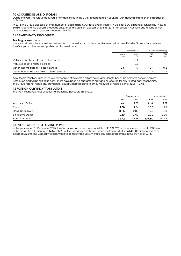#### 10 ACQUISITIONS AND DISPOSALS

During the year, the Group acquired a new dealership in the UK for a consideration of £5.1m, with goodwill arising on the transaction of £4.0m.

In 2015, the Group disposed of small number of dealerships in Australia and its interest in Excelease SA, a financial services business in Belgium, generating disposal proceeds of £5.4m and a profit on disposal of £0.6m (2014 – disposals in Australia and Finland at net book value generating disposal proceeds of £1.9m).

#### 11 RELATED PARTY DISCLOSURES

#### Trading transactions

Intra-group transactions have been eliminated on consolidation and are not disclosed in this note. Details of transactions between the Group and other related parties are disclosed below:

|                                            | Transactions                 |            | Amounts outstanding |            |
|--------------------------------------------|------------------------------|------------|---------------------|------------|
|                                            | 2015<br>£m                   | 2014<br>£m | 2015<br>£m          | 2014<br>£m |
| Vehicles purchased from related parties    | $\overline{\phantom{0}}$     | O.2        |                     |            |
| Vehicles sold to related parties           | $\overline{\phantom{0}}$     | 0.9        |                     |            |
| Other income paid to related parties       | 0.6                          |            | 0.1                 | 0.2        |
| Other income received from related parties | $\qquad \qquad \blacksquare$ | 0.2        |                     |            |

All of the transactions arise in the ordinary course of business and are on an arm's length basis. The amounts outstanding are unsecured and will be settled in cash. There have been no guarantees provided or received for any related party receivables. The Group has not raised any provision for doubtful debts relating to amounts owed by related parties (2014 - £nil).

#### 12 FOREIGN CURRENCY TRANSLATION

The main exchange rates used for translation purposes are as follows:

|                          |       | Average rates |        | Year end rates |  |
|--------------------------|-------|---------------|--------|----------------|--|
|                          | 2015  | 2014          | 2015   | 2014           |  |
| <b>Australian Dollar</b> | 2.04  | 1.83          | 2.02   | 1.91           |  |
| Euro                     | 1.38  | 1.24          | 1.36   | 1.29           |  |
| Hong Kong Dollar         | 11.85 | 12.80         | 11.42  | 12.08          |  |
| Singapore Dollar         | 2.10  | 2.09          | 2.09   | 2.06           |  |
| <b>Russian Rouble</b>    | 93.72 | 63.29         | 107.30 | 92.65          |  |

#### 13 EVENTS AFTER THE REPORTING PERIOD

In the year ended 31 December 2015, the Company purchased, for cancellation, 11,931,693 ordinary shares at a cost of £91.4m In the period from 1 January to 14 March 2016, the Company purchased, for cancellation, a further 4,541,107 ordinary shares at a cost of £32.0m. The Company is committed to completing a £58.6m share buy back programme in the first half of 2016.